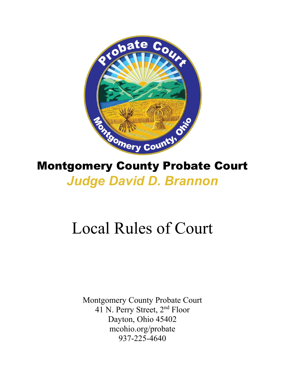

## Montgomery County Probate Court *Judge David D. Brannon*

# Local Rules of Court

Montgomery County Probate Court 41 N. Perry Street, 2nd Floor Dayton, Ohio 45402 mcohio.org/probate 937-225-4640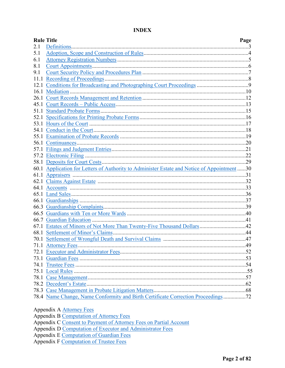|      | <b>Rule Title</b>                                                                           | Page |
|------|---------------------------------------------------------------------------------------------|------|
| 2.1  |                                                                                             |      |
| 5.1  |                                                                                             |      |
| 6.1  |                                                                                             |      |
| 8.1  |                                                                                             |      |
| 9.1  |                                                                                             |      |
| 11.1 |                                                                                             |      |
| 12.1 |                                                                                             |      |
| 16.1 |                                                                                             |      |
|      |                                                                                             |      |
|      |                                                                                             |      |
|      |                                                                                             |      |
|      |                                                                                             |      |
|      |                                                                                             |      |
|      |                                                                                             |      |
|      |                                                                                             |      |
|      |                                                                                             |      |
|      |                                                                                             |      |
|      |                                                                                             |      |
|      |                                                                                             |      |
|      | 60.1 Application for Letters of Authority to Administer Estate and Notice of Appointment 30 |      |
|      |                                                                                             |      |
|      |                                                                                             |      |
|      |                                                                                             |      |
|      |                                                                                             |      |
|      |                                                                                             |      |
|      |                                                                                             |      |
|      |                                                                                             |      |
|      |                                                                                             |      |
|      | 67.1 Estates of Minors of Not More Than Twenty-Five Thousand Dollars42                      |      |
|      |                                                                                             |      |
|      |                                                                                             |      |
|      |                                                                                             |      |
|      |                                                                                             |      |
|      |                                                                                             |      |
|      |                                                                                             |      |
|      |                                                                                             |      |
|      |                                                                                             |      |
|      |                                                                                             |      |
|      |                                                                                             |      |
|      | 78.4 Name Change, Name Conformity and Birth Certificate Correction Proceedings72            |      |

<span id="page-1-0"></span>**INDEX** 

- Appendix A Attorney Fees
- Appendix B Computation of Attorney Fees
- Appendix C Consent to Payment of Attorney Fees on Partial Account
- Appendix D Computation of Executor and Administrator Fees
- Appendix E Computation of Guardian Fees
- Appendix F Computation of Trustee Fees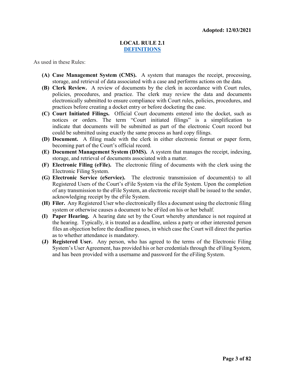#### **LOCAL RULE 2.1 [DEFINITIONS](#page-1-0)**

As used in these Rules:

- **(A) Case Management System (CMS).** A system that manages the receipt, processing, storage, and retrieval of data associated with a case and performs actions on the data.
- **(B) Clerk Review.** A review of documents by the clerk in accordance with Court rules, policies, procedures, and practice. The clerk may review the data and documents electronically submitted to ensure compliance with Court rules, policies, procedures, and practices before creating a docket entry or before docketing the case.
- **(C) Court Initiated Filings.** Official Court documents entered into the docket, such as notices or orders. The term "Court initiated filings" is a simplification to indicate that documents will be submitted as part of the electronic Court record but could be submitted using exactly the same process as hard copy filings.
- **(D) Document.** A filing made with the clerk in either electronic format or paper form, becoming part of the Court's official record.
- **(E) Document Management System (DMS).** A system that manages the receipt, indexing, storage, and retrieval of documents associated with a matter.
- **(F) Electronic Filing (eFile).** The electronic filing of documents with the clerk using the Electronic Filing System.
- **(G) Electronic Service (eService).** The electronic transmission of document(s) to all Registered Users of the Court's eFile System via the eFile System. Upon the completion of any transmission to the eFile System, an electronic receipt shall be issued to the sender, acknowledging receipt by the eFile System.
- **(H) Filer.** Any Registered User who electronically files a document using the electronic filing system or otherwise causes a document to be eFiled on his or her behalf.
- **(I) Paper Hearing.** A hearing date set by the Court whereby attendance is not required at the hearing. Typically, it is treated as a deadline, unless a party or other interested person files an objection before the deadline passes, in which case the Court will direct the parties as to whether attendance is mandatory.
- **(J) Registered User.** Any person, who has agreed to the terms of the Electronic Filing System's User Agreement, has provided his or her credentials through the eFiling System, and has been provided with a username and password for the eFiling System.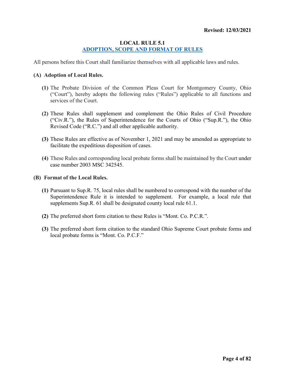#### <span id="page-3-0"></span>**LOCAL RULE 5.1 [ADOPTION, SCOPE AND FORMAT OF RULES](#page-1-0)**

All persons before this Court shall familiarize themselves with all applicable laws and rules.

#### **(A) Adoption of Local Rules.**

- **(1)** The Probate Division of the Common Pleas Court for Montgomery County, Ohio ("Court"), hereby adopts the following rules ("Rules") applicable to all functions and services of the Court.
- **(2)** These Rules shall supplement and complement the Ohio Rules of Civil Procedure ("Civ.R."), the Rules of Superintendence for the Courts of Ohio ("Sup.R."), the Ohio Revised Code ("R.C.") and all other applicable authority.
- **(3)** These Rules are effective as of November 1, 2021 and may be amended as appropriate to facilitate the expeditious disposition of cases.
- **(4)** These Rules and corresponding local probate forms shall be maintained by the Court under case number 2003 MSC 342545.

#### **(B) Format of the Local Rules.**

- **(1)** Pursuant to Sup.R. 75, local rules shall be numbered to correspond with the number of the Superintendence Rule it is intended to supplement. For example, a local rule that supplements Sup.R. 61 shall be designated county local rule 61.1.
- **(2)** The preferred short form citation to these Rules is "Mont. Co. P.C.R.".
- **(3)** The preferred short form citation to the standard Ohio Supreme Court probate forms and local probate forms is "Mont. Co. P.C.F."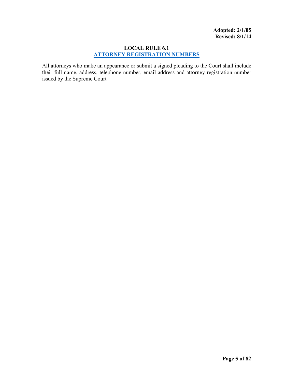#### <span id="page-4-0"></span>**LOCAL RULE 6.1 [ATTORNEY REGISTRATION NUMBERS](#page-1-0)**

All attorneys who make an appearance or submit a signed pleading to the Court shall include their full name, address, telephone number, email address and attorney registration number issued by the Supreme Court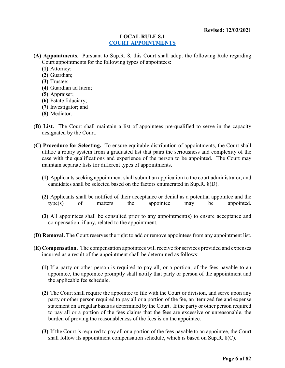#### <span id="page-5-0"></span>**LOCAL RULE 8.1 COURT [APPOINTMENTS](#page-1-0)**

**(A) Appointments**. Pursuant to Sup.R. 8, this Court shall adopt the following Rule regarding Court appointments for the following types of appointees:

- **(1)** Attorney;
- **(2)** Guardian;
- **(3)** Trustee;
- **(4)** Guardian ad litem;
- **(5)** Appraiser;
- **(6)** Estate fiduciary;
- **(7)** Investigator; and
- **(8)** Mediator.
- **(B) List.** The Court shall maintain a list of appointees pre-qualified to serve in the capacity designated by the Court.
- **(C) Procedure for Selecting.** To ensure equitable distribution of appointments, the Court shall utilize a rotary system from a graduated list that pairs the seriousness and complexity of the case with the qualifications and experience of the person to be appointed. The Court may maintain separate lists for different types of appointments.
	- **(1)** Applicants seeking appointment shall submit an application to the court administrator, and candidates shall be selected based on the factors enumerated in Sup.R. 8(D).
	- **(2)** Applicants shall be notified of their acceptance or denial as a potential appointee and the type(s) of matters the appointee may be appointed.
	- **(3)** All appointees shall be consulted prior to any appointment(s) to ensure acceptance and compensation, if any, related to the appointment.
- **(D) Removal.** The Court reserves the right to add or remove appointees from any appointment list.
- **(E) Compensation.** The compensation appointees will receive for services provided and expenses incurred as a result of the appointment shall be determined as follows:
	- **(1)** If a party or other person is required to pay all, or a portion, of the fees payable to an appointee, the appointee promptly shall notify that party or person of the appointment and the applicable fee schedule.
	- **(2)** The Court shall require the appointee to file with the Court or division, and serve upon any party or other person required to pay all or a portion of the fee, an itemized fee and expense statement on a regular basis as determined by the Court. If the party or other person required to pay all or a portion of the fees claims that the fees are excessive or unreasonable, the burden of proving the reasonableness of the fees is on the appointee.
	- **(3)** If the Court is required to pay all or a portion of the fees payable to an appointee, the Court shall follow its appointment compensation schedule, which is based on Sup.R. 8(C).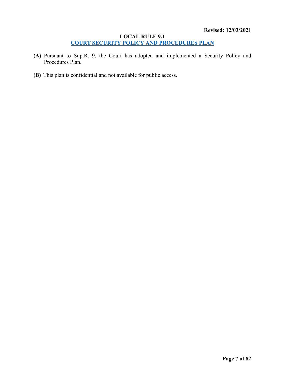#### <span id="page-6-0"></span>**LOCAL RULE 9.1 COURT [SECURITY POLICY AND PROCEDURES PLAN](#page-1-0)**

- **(A)** Pursuant to Sup.R. 9, the Court has adopted and implemented a Security Policy and Procedures Plan.
- **(B)** This plan is confidential and not available for public access.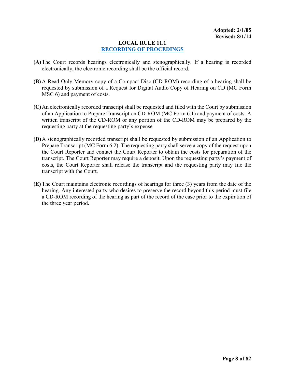#### <span id="page-7-0"></span>**LOCAL RULE 11.1 [RECORDING OF PROCEDINGS](#page-1-0)**

- **(A)**The Court records hearings electronically and stenographically. If a hearing is recorded electronically, the electronic recording shall be the official record.
- **(B)** A Read-Only Memory copy of a Compact Disc (CD-ROM) recording of a hearing shall be requested by submission of a Request for Digital Audio Copy of Hearing on CD (MC Form MSC 6) and payment of costs.
- **(C)**An electronically recorded transcript shall be requested and filed with the Court by submission of an Application to Prepare Transcript on CD-ROM (MC Form 6.1) and payment of costs. A written transcript of the CD-ROM or any portion of the CD-ROM may be prepared by the requesting party at the requesting party's expense
- **(D)**A stenographically recorded transcript shall be requested by submission of an Application to Prepare Transcript (MC Form 6.2). The requesting party shall serve a copy of the request upon the Court Reporter and contact the Court Reporter to obtain the costs for preparation of the transcript. The Court Reporter may require a deposit. Upon the requesting party's payment of costs, the Court Reporter shall release the transcript and the requesting party may file the transcript with the Court.
- **(E)** The Court maintains electronic recordings of hearings for three (3) years from the date of the hearing. Any interested party who desires to preserve the record beyond this period must file a CD-ROM recording of the hearing as part of the record of the case prior to the expiration of the three year period.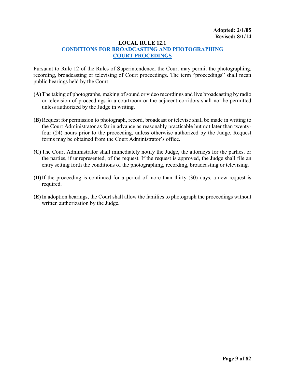#### <span id="page-8-0"></span>**LOCAL RULE 12.1**

#### **[CONDITIONS FOR BROADCASTING AND PHOTOGRAPHING](#page-1-0) [COURT PROCEDINGS](#page-1-0)**

Pursuant to Rule 12 of the Rules of Superintendence, the Court may permit the photographing, recording, broadcasting or televising of Court proceedings. The term "proceedings" shall mean public hearings held by the Court.

- **(A)**The taking of photographs, making of sound or video recordings and live broadcasting by radio or television of proceedings in a courtroom or the adjacent corridors shall not be permitted unless authorized by the Judge in writing.
- **(B)** Request for permission to photograph, record, broadcast or televise shall be made in writing to the Court Administrator as far in advance as reasonably practicable but not later than twentyfour (24) hours prior to the proceeding, unless otherwise authorized by the Judge. Request forms may be obtained from the Court Administrator's office.
- **(C)**The Court Administrator shall immediately notify the Judge, the attorneys for the parties, or the parties, if unrepresented, of the request. If the request is approved, the Judge shall file an entry setting forth the conditions of the photographing, recording, broadcasting or televising.
- **(D)**If the proceeding is continued for a period of more than thirty (30) days, a new request is required.
- **(E)** In adoption hearings, the Court shall allow the families to photograph the proceedings without written authorization by the Judge.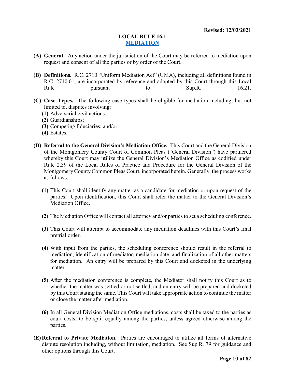#### <span id="page-9-0"></span>**LOCAL RULE 16.1 [MEDIATION](#page-1-0)**

- **(A) General.** Any action under the jurisdiction of the Court may be referred to mediation upon request and consent of all the parties or by order of the Court.
- **(B) Definitions.** R.C. 2710 "Uniform Mediation Act" (UMA), including all definitions found in R.C. 2710.01, are incorporated by reference and adopted by this Court through this Local Rule **pursuant** to Sup.R. 16.21.
- **(C) Case Types.** The following case types shall be eligible for mediation including, but not limited to, disputes involving:
	- **(1)** Adversarial civil actions;
	- **(2)** Guardianships;
	- **(3)** Competing fiduciaries; and/or
	- **(4)** Estates.
- **(D) Referral to the General Division's Mediation Office.** This Court and the General Division of the Montgomery County Court of Common Pleas ("General Division") have partnered whereby this Court may utilize the General Division's Mediation Office as codified under Rule 2.39 of the Local Rules of Practice and Procedure for the General Division of the Montgomery County Common Pleas Court, incorporated herein. Generally, the process works as follows:
	- **(1)** This Court shall identify any matter as a candidate for mediation or upon request of the parties. Upon identification, this Court shall refer the matter to the General Division's Mediation Office.
	- **(2)** The Mediation Office will contact all attorney and/or parties to set a scheduling conference.
	- **(3)** This Court will attempt to accommodate any mediation deadlines with this Court's final pretrial order.
	- **(4)** With input from the parties, the scheduling conference should result in the referral to mediation, identification of mediator, mediation date, and finalization of all other matters for mediation. An entry will be prepared by this Court and docketed in the underlying matter.
	- **(5)** After the mediation conference is complete, the Mediator shall notify this Court as to whether the matter was settled or not settled, and an entry will be prepared and docketed by this Court stating the same. This Court will take appropriate action to continue the matter or close the matter after mediation.
	- **(6)** In all General Division Mediation Office mediations, costs shall be taxed to the parties as court costs, to be split equally among the parties, unless agreed otherwise among the parties.
- **(E) Referral to Private Mediation.** Parties are encouraged to utilize all forms of alternative dispute resolution including, without limitation, mediation. See Sup.R. 79 for guidance and other options through this Court.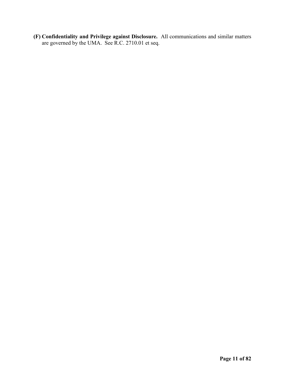**(F) Confidentiality and Privilege against Disclosure.** All communications and similar matters are governed by the UMA. See R.C. 2710.01 et seq.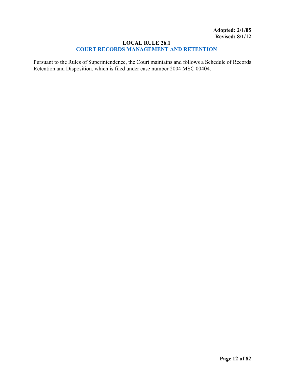#### <span id="page-11-0"></span>**LOCAL RULE 26.1 [COURT RECORDS MANAGEMENT](#page-1-0) AND RETENTION**

Pursuant to the Rules of Superintendence, the Court maintains and follows a Schedule of Records Retention and Disposition, which is filed under case number 2004 MSC 00404.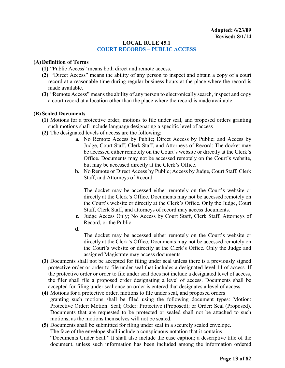#### <span id="page-12-0"></span>**LOCAL RULE 45.1 [COURT RECORDS –](#page-1-0) PUBLIC ACCESS**

#### **(A)Definition of Terms**

- **(1)** "Public Access" means both direct and remote access.
- **(2)** "Direct Access" means the ability of any person to inspect and obtain a copy of a court record at a reasonable time during regular business hours at the place where the record is made available.
- **(3)** "Remote Access" means the ability of any person to electronically search, inspect and copy a court record at a location other than the place where the record is made available.

#### **(B) Sealed Documents**

- **(1)** Motions for a protective order, motions to file under seal, and proposed orders granting such motions shall include language designating a specific level of access
- **(2)** The designated levels of access are the following:
	- **a.** No Remote Access by Public; Direct Access by Public; and Access by Judge, Court Staff, Clerk Staff, and Attorneys of Record: The docket may be accessed either remotely on the Court's website or directly at the Clerk's Office. Documents may not be accessed remotely on the Court's website, but may be accessed directly at the Clerk's Office.
	- **b.** No Remote or Direct Access by Public; Access by Judge, Court Staff, Clerk Staff, and Attorneys of Record:

The docket may be accessed either remotely on the Court's website or directly at the Clerk's Office. Documents may not be accessed remotely on the Court's website or directly at the Clerk's Office. Only the Judge, Court Staff, Clerk Staff, and attorneys of record may access documents.

- **c.** Judge Access Only; No Access by Court Staff, Clerk Staff, Attorneys of Record, or the Public:
- **d.**

The docket may be accessed either remotely on the Court's website or directly at the Clerk's Office. Documents may not be accessed remotely on the Court's website or directly at the Clerk's Office. Only the Judge and assigned Magistrate may access documents.

- **(3)** Documents shall not be accepted for filing under seal unless there is a previously signed protective order or order to file under seal that includes a designated level 14 of access. If the protective order or order to file under seal does not include a designated level of access, the filer shall file a proposed order designating a level of access. Documents shall be accepted for filing under seal once an order is entered that designates a level of access.
- **(4)** Motions for a protective order, motions to file under seal, and proposed orders granting such motions shall be filed using the following document types: Motion: Protective Order; Motion: Seal; Order: Protective (Proposed); or Order: Seal (Proposed). Documents that are requested to be protected or sealed shall not be attached to such motions, as the motions themselves will not be sealed.

**(5)** Documents shall be submitted for filing under seal in a securely sealed envelope. The face of the envelope shall include a conspicuous notation that it contains "Documents Under Seal." It shall also include the case caption; a descriptive title of the document, unless such information has been included among the information ordered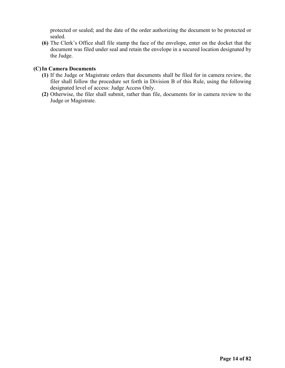protected or sealed; and the date of the order authorizing the document to be protected or sealed.

**(6)** The Clerk's Office shall file stamp the face of the envelope, enter on the docket that the document was filed under seal and retain the envelope in a secured location designated by the Judge.

#### **(C)In Camera Documents**

- **(1)** If the Judge or Magistrate orders that documents shall be filed for in camera review, the filer shall follow the procedure set forth in Division B of this Rule, using the following designated level of access: Judge Access Only.
- **(2)** Otherwise, the filer shall submit, rather than file, documents for in camera review to the Judge or Magistrate.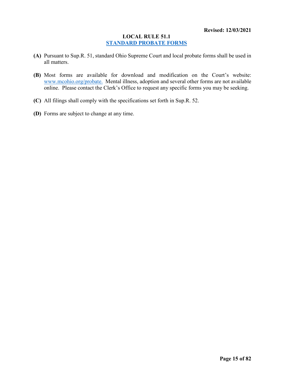#### <span id="page-14-0"></span>**LOCAL RULE 51.1 [STANDARD PROBATE FORMS](#page-1-0)**

- **(A)** Pursuant to Sup.R. 51, standard Ohio Supreme Court and local probate forms shall be used in all matters.
- **(B)** Most forms are available for download and modification on the Court's website: [www.mcohio.org/probate.](http://www.mcohio.org/probate) Mental illness, adoption and several other forms are not available online. Please contact the Clerk's Office to request any specific forms you may be seeking.
- **(C)** All filings shall comply with the specifications set forth in Sup.R. 52.
- **(D)** Forms are subject to change at any time.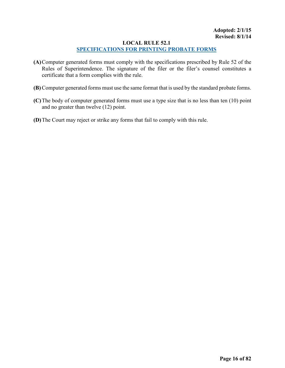### <span id="page-15-0"></span>**LOCAL RULE 52.1**

#### **[SPECIFICATIONS FOR PRINTING PROBATE FORMS](#page-1-0)**

- **(A)**Computer generated forms must comply with the specifications prescribed by Rule 52 of the Rules of Superintendence. The signature of the filer or the filer's counsel constitutes a certificate that a form complies with the rule.
- **(B)** Computer generated forms must use the same format that is used by the standard probate forms.
- **(C)**The body of computer generated forms must use a type size that is no less than ten (10) point and no greater than twelve (12) point.
- **(D)**The Court may reject or strike any forms that fail to comply with this rule.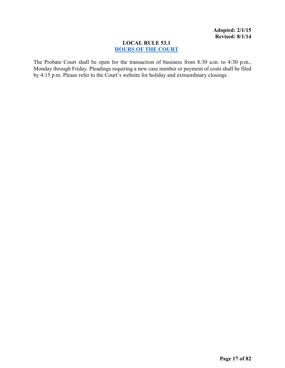#### <span id="page-16-0"></span>**LOCAL RULE 53.1 [HOURS OF THE COURT](#page-1-0)**

The Probate Court shall be open for the transaction of business from 8:30 a.m. to 4:30 p.m., Monday through Friday. Pleadings requiring a new case number or payment of costs shall be filed by 4:15 p.m. Please refer to the Court's website for holiday and extraordinary closings.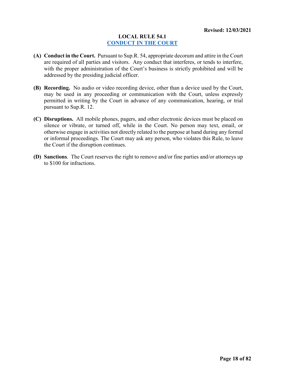#### <span id="page-17-0"></span>**LOCAL RULE 54.1 [CONDUCT IN THE COURT](#page-1-0)**

- **(A) Conduct in the Court.** Pursuant to Sup.R. 54, appropriate decorum and attire in the Court are required of all parties and visitors. Any conduct that interferes, or tends to interfere, with the proper administration of the Court's business is strictly prohibited and will be addressed by the presiding judicial officer.
- **(B) Recording.** No audio or video recording device, other than a device used by the Court, may be used in any proceeding or communication with the Court, unless expressly permitted in writing by the Court in advance of any communication, hearing, or trial pursuant to Sup.R. 12.
- **(C) Disruptions.** All mobile phones, pagers, and other electronic devices must be placed on silence or vibrate, or turned off, while in the Court. No person may text, email, or otherwise engage in activities not directly related to the purpose at hand during any formal or informal proceedings. The Court may ask any person, who violates this Rule, to leave the Court if the disruption continues.
- **(D) Sanctions**. The Court reserves the right to remove and/or fine parties and/or attorneys up to \$100 for infractions.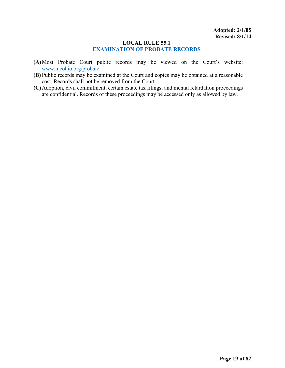#### <span id="page-18-0"></span>**LOCAL RULE 55.1 [EXAMINATION OF PROBATE RECORDS](#page-1-0)**

- **(A)**Most Probate Court public records may be viewed on the Court's website: [www.mcohio.org/probate](http://www.mcohio.org/probate)
- **(B)** Public records may be examined at the Court and copies may be obtained at a reasonable cost. Records shall not be removed from the Court.
- **(C)**Adoption, civil commitment, certain estate tax filings, and mental retardation proceedings are confidential. Records of these proceedings may be accessed only as allowed by law.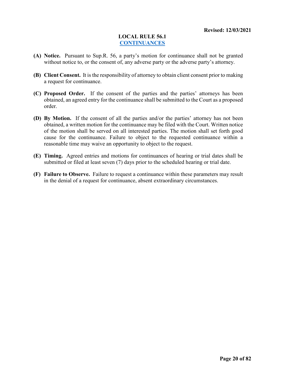#### <span id="page-19-0"></span>**LOCAL RULE 56.1 [CONTINUANCES](#page-1-0)**

- **(A) Notice.** Pursuant to Sup.R. 56, a party's motion for continuance shall not be granted without notice to, or the consent of, any adverse party or the adverse party's attorney.
- **(B) Client Consent.** It is the responsibility of attorney to obtain client consent prior to making a request for continuance.
- **(C) Proposed Order.** If the consent of the parties and the parties' attorneys has been obtained, an agreed entry for the continuance shall be submitted to the Court as a proposed order.
- **(D) By Motion.** If the consent of all the parties and/or the parties' attorney has not been obtained, a written motion for the continuance may be filed with the Court. Written notice of the motion shall be served on all interested parties. The motion shall set forth good cause for the continuance. Failure to object to the requested continuance within a reasonable time may waive an opportunity to object to the request.
- **(E) Timing.** Agreed entries and motions for continuances of hearing or trial dates shall be submitted or filed at least seven (7) days prior to the scheduled hearing or trial date.
- **(F) Failure to Observe.** Failure to request a continuance within these parameters may result in the denial of a request for continuance, absent extraordinary circumstances.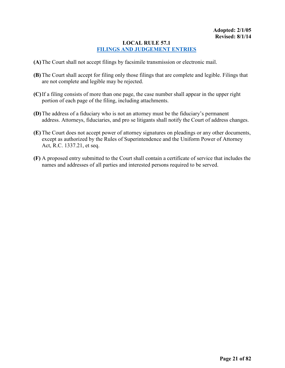#### <span id="page-20-0"></span>**LOCAL RULE 57.1 [FILINGS AND JUDGEMENT ENTRIES](#page-1-0)**

- **(A)**The Court shall not accept filings by facsimile transmission or electronic mail.
- **(B)** The Court shall accept for filing only those filings that are complete and legible. Filings that are not complete and legible may be rejected.
- **(C)**If a filing consists of more than one page, the case number shall appear in the upper right portion of each page of the filing, including attachments.
- **(D)**The address of a fiduciary who is not an attorney must be the fiduciary's permanent address. Attorneys, fiduciaries, and pro se litigants shall notify the Court of address changes.
- **(E)** The Court does not accept power of attorney signatures on pleadings or any other documents, except as authorized by the Rules of Superintendence and the Uniform Power of Attorney Act, R.C. 1337.21, et seq.
- **(F)** A proposed entry submitted to the Court shall contain a certificate of service that includes the names and addresses of all parties and interested persons required to be served.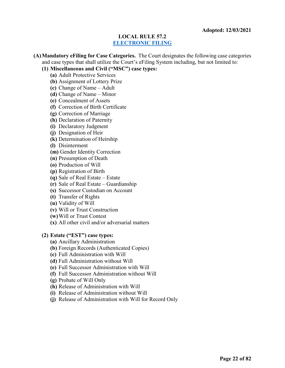#### <span id="page-21-0"></span>**LOCAL RULE 57.2 [ELECTRONIC FILING](#page-1-0)**

**(A)Mandatory eFiling for Case Categories.** The Court designates the following case categories and case types that shall utilize the Court's eFiling System including, but not limited to:

- **(1) Miscellaneous and Civil ("MSC") case types:**
	- **(a)** Adult Protective Services
	- **(b)** Assignment of Lottery Prize
	- **(c)** Change of Name Adult
	- **(d)** Change of Name Minor
	- **(e)** Concealment of Assets
	- **(f)** Correction of Birth Certificate
	- **(g)** Correction of Marriage
	- **(h)** Declaration of Paternity
	- **(i)** Declaratory Judgment
	- **(j)** Designation of Heir
	- **(k)** Determination of Heirship
	- **(l)** Disinterment
	- **(m)** Gender Identity Correction
	- **(n)** Presumption of Death
	- **(o)** Production of Will
	- **(p)** Registration of Birth
	- **(q)** Sale of Real Estate Estate
	- **(r)** Sale of Real Estate Guardianship
	- **(s)** Successor Custodian on Account
	- **(t)** Transfer of Rights
	- **(u)** Validity of Will
	- **(v)** Will or Trust Construction
	- **(w)**Will or Trust Contest
	- **(x)** All other civil and/or adversarial matters

#### **(2) Estate ("EST") case types:**

- **(a)** Ancillary Administration
- **(b)** Foreign Records (Authenticated Copies)
- **(c)** Full Administration with Will
- **(d)** Full Administration without Will
- **(e)** Full Successor Administration with Will
- **(f)** Full Successor Administration without Will
- **(g)** Probate of Will Only
- **(h)** Release of Administration with Will
- **(i)** Release of Administration without Will
- **(j)** Release of Administration with Will for Record Only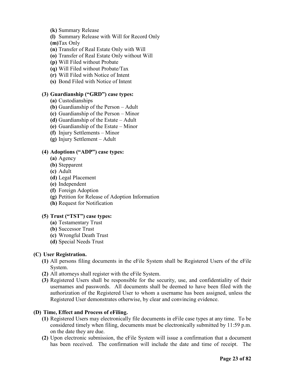- **(k)** Summary Release
- **(l)** Summary Release with Will for Record Only

**(m)**Tax Only

- **(n)** Transfer of Real Estate Only with Will
- **(o)** Transfer of Real Estate Only without Will
- **(p)** Will Filed without Probate
- **(q)** Will Filed without Probate/Tax
- **(r)** Will Filed with Notice of Intent
- **(s)** Bond Filed with Notice of Intent

#### **(3) Guardianship ("GRD") case types:**

- **(a)** Custodianships
- **(b)** Guardianship of the Person Adult
- **(c)** Guardianship of the Person Minor
- **(d)** Guardianship of the Estate Adult
- **(e)** Guardianship of the Estate Minor
- **(f)** Injury Settlements Minor
- **(g)** Injury Settlement Adult

#### **(4) Adoptions ("ADP") case types:**

- **(a)** Agency
- **(b)** Stepparent
- **(c)** Adult
- **(d)** Legal Placement
- **(e)** Independent
- **(f)** Foreign Adoption
- **(g)** Petition for Release of Adoption Information
- **(h)** Request for Notification

#### **(5) Trust ("TST") case types:**

- **(a)** Testamentary Trust
- **(b)** Successor Trust
- **(c)** Wrongful Death Trust
- **(d)** Special Needs Trust

#### **(C) User Registration.**

- **(1)** All persons filing documents in the eFile System shall be Registered Users of the eFile System.
- **(2)** All attorneys shall register with the eFile System.
- **(3)** Registered Users shall be responsible for the security, use, and confidentiality of their usernames and passwords. All documents shall be deemed to have been filed with the authorization of the Registered User to whom a username has been assigned, unless the Registered User demonstrates otherwise, by clear and convincing evidence.

#### **(D) Time, Effect and Process of eFiling.**

- **(1)** Registered Users may electronically file documents in eFile case types at any time. To be considered timely when filing, documents must be electronically submitted by 11:59 p.m. on the date they are due.
- **(2)** Upon electronic submission, the eFile System will issue a confirmation that a document has been received. The confirmation will include the date and time of receipt. The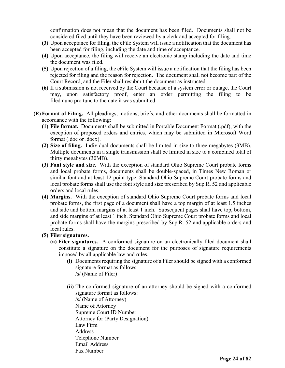confirmation does not mean that the document has been filed. Documents shall not be considered filed until they have been reviewed by a clerk and accepted for filing.

- **(3)** Upon acceptance for filing, the eFile System will issue a notification that the document has been accepted for filing, including the date and time of acceptance.
- **(4)** Upon acceptance, the filing will receive an electronic stamp including the date and time the document was filed.
- **(5)** Upon rejection of a filing, the eFile System will issue a notification that the filing has been rejected for filing and the reason for rejection. The document shall not become part of the Court Record, and the Filer shall resubmit the document as instructed.
- **(6)** If a submission is not received by the Court because of a system error or outage, the Court may, upon satisfactory proof, enter an order permitting the filing to be filed nunc pro tunc to the date it was submitted.
- **(E) Format of Filing.** All pleadings, motions, briefs, and other documents shall be formatted in accordance with the following:
	- **(1) File format.** Documents shall be submitted in Portable Document Format (.pdf), with the exception of proposed orders and entries, which may be submitted in Microsoft Word format (.doc or .docx).
	- **(2) Size of filing.** Individual documents shall be limited in size to three megabytes (3MB). Multiple documents in a single transmission shall be limited in size to a combined total of thirty megabytes (30MB).
	- **(3) Font style and size.** With the exception of standard Ohio Supreme Court probate forms and local probate forms, documents shall be double-spaced, in Times New Roman or similar font and at least 12-point type. Standard Ohio Supreme Court probate forms and local probate forms shall use the font style and size prescribed by Sup.R. 52 and applicable orders and local rules.
	- **(4) Margins.** With the exception of standard Ohio Supreme Court probate forms and local probate forms, the first page of a document shall have a top margin of at least 1.5 inches and side and bottom margins of at least 1 inch. Subsequent pages shall have top, bottom, and side margins of at least 1 inch. Standard Ohio Supreme Court probate forms and local probate forms shall have the margins prescribed by Sup.R. 52 and applicable orders and local rules.
	- **(5) Filer signatures.** 
		- **(a) Filer signatures.** A conformed signature on an electronically filed document shall constitute a signature on the document for the purposes of signature requirements imposed by all applicable law and rules.
			- **(i)** Documents requiring the signature of a Filer should be signed with a conformed signature format as follows: /s/ (Name of Filer)
			- **(ii)** The conformed signature of an attorney should be signed with a conformed signature format as follows:

/s/ (Name of Attorney) Name of Attorney Supreme Court ID Number Attorney for (Party Designation) Law Firm Address Telephone Number Email Address Fax Number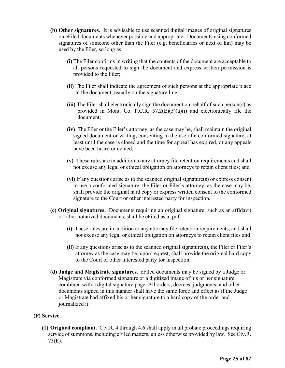- **(b) Other signatures**. It is advisable to use scanned digital images of original signatures on eFiled documents whenever possible and appropriate. Documents using conformed signatures of someone other than the Filer (e.g. beneficiaries or next of kin) may be used by the Filer, so long as:
	- **(i)** The Filer confirms in writing that the contents of the document are acceptable to all persons requested to sign the document and express written permission is provided to the Filer;
	- **(ii)** The Filer shall indicate the agreement of such persons at the appropriate place in the document, usually on the signature line;
	- **(iii)** The Filer shall electronically sign the document on behalf of such person(s) as provided in Mont. Co. P.C.R.  $57.2(E)(5)(a)(i)$  and electronically file the document;
	- **(iv)** The Filer or the Filer's attorney, as the case may be, shall maintain the original signed document or writing, consenting to the use of a conformed signature, at least until the case is closed and the time for appeal has expired, or any appeals have been heard or denied;
	- **(v)** These rules are in addition to any attorney file retention requirements and shall not excuse any legal or ethical obligation on attorneys to retain client files; and
	- **(vi)** If any questions arise as to the scanned original signature(s) or express consent to use a conformed signature, the Filer or Filer's attorney, as the case may be, shall provide the original hard copy or express written consent to the conformed signature to the Court or other interested party for inspection.
- **(c) Original signatures.** Documents requiring an original signature, such as an affidavit or other notarized documents, shall be eFiled as a .pdf.
	- **(i)** These rules are in addition to any attorney file retention requirements, and shall not excuse any legal or ethical obligation on attorneys to retain client files and
	- **(ii)** If any questions arise as to the scanned original signature(s), the Filer or Filer's attorney as the case may be, upon request, shall provide the original hard copy to the Court or other interested party for inspection.
- **(d) Judge and Magistrate signatures.** eFiled documents may be signed by a Judge or Magistrate via conformed signature or a digitized image of his or her signature combined with a digital signature page. All orders, decrees, judgments, and other documents signed in this manner shall have the same force and effect as if the Judge or Magistrate had affixed his or her signature to a hard copy of the order and journalized it.

#### **(F) Service.**

**(1) Original compliant.** Civ.R. 4 through 4.6 shall apply in all probate proceedings requiring service of summons, including eFiled matters, unless otherwise provided by law. See Civ.R. 73(E).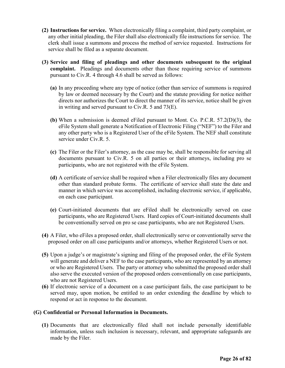- **(2) Instructions for service.** When electronically filing a complaint, third party complaint, or any other initial pleading, the Filer shall also electronically file instructions for service. The clerk shall issue a summons and process the method of service requested. Instructions for service shall be filed as a separate document.
- **(3) Service and filing of pleadings and other documents subsequent to the original complaint.** Pleadings and documents other than those requiring service of summons pursuant to Civ.R. 4 through 4.6 shall be served as follows:
	- **(a)** In any proceeding where any type of notice (other than service of summons is required by law or deemed necessary by the Court) and the statute providing for notice neither directs nor authorizes the Court to direct the manner of its service, notice shall be given in writing and served pursuant to Civ.R. 5 and 73(E).
	- **(b)** When a submission is deemed eFiled pursuant to Mont. Co. P.C.R. 57.2(D)(3), the eFile System shall generate a Notification of Electronic Filing ("NEF") to the Filer and any other party who is a Registered User of the eFile System. The NEF shall constitute service under Civ.R. 5.
	- **(c)** The Filer or the Filer's attorney, as the case may be, shall be responsible for serving all documents pursuant to Civ.R. 5 on all parties or their attorneys, including pro se participants, who are not registered with the eFile System.
	- **(d)** A certificate of service shall be required when a Filer electronically files any document other than standard probate forms. The certificate of service shall state the date and manner in which service was accomplished, including electronic service, if applicable, on each case participant.
	- **(e)** Court-initiated documents that are eFiled shall be electronically served on case participants, who are Registered Users. Hard copies of Court-initiated documents shall be conventionally served on pro se case participants, who are not Registered Users.
- **(4)** A Filer, who eFiles a proposed order, shall electronically serve or conventionally serve the proposed order on all case participants and/or attorneys, whether Registered Users or not.
- **(5)** Upon a judge's or magistrate's signing and filing of the proposed order, the eFile System will generate and deliver a NEF to the case participants, who are represented by an attorney or who are Registered Users. The party or attorney who submitted the proposed order shall also serve the executed version of the proposed orders conventionally on case participants, who are not Registered Users.
- **(6)** If electronic service of a document on a case participant fails, the case participant to be served may, upon motion, be entitled to an order extending the deadline by which to respond or act in response to the document.

#### **(G) Confidential or Personal Information in Documents.**

**(1)** Documents that are electronically filed shall not include personally identifiable information, unless such inclusion is necessary, relevant, and appropriate safeguards are made by the Filer.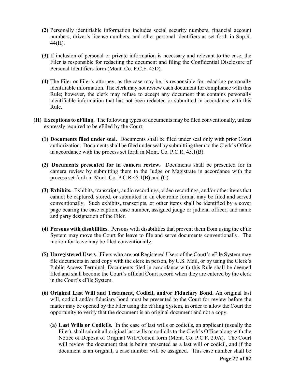- **(2)** Personally identifiable information includes social security numbers, financial account numbers, driver's license numbers, and other personal identifiers as set forth in Sup.R. 44(H).
- **(3)** If inclusion of personal or private information is necessary and relevant to the case, the Filer is responsible for redacting the document and filing the Confidential Disclosure of Personal Identifiers form (Mont. Co. P.C.F. 45D).
- **(4)** The Filer or Filer's attorney, as the case may be, is responsible for redacting personally identifiable information. The clerk may not review each document for compliance with this Rule; however, the clerk may refuse to accept any document that contains personally identifiable information that has not been redacted or submitted in accordance with this Rule.
- **(H) Exceptions to eFiling.** The following types of documents may be filed conventionally, unless expressly required to be eFiled by the Court:
	- **(1) Documents filed under seal.** Documents shall be filed under seal only with prior Court authorization. Documents shall be filed under seal by submitting them to the Clerk's Office in accordance with the process set forth in Mont. Co. P.C.R. 45.1(B).
	- **(2) Documents presented for in camera review.** Documents shall be presented for in camera review by submitting them to the Judge or Magistrate in accordance with the process set forth in Mont. Co. P.C.R 45.1(B) and (C).
	- **(3) Exhibits.** Exhibits, transcripts, audio recordings, video recordings, and/or other items that cannot be captured, stored, or submitted in an electronic format may be filed and served conventionally. Such exhibits, transcripts, or other items shall be identified by a cover page bearing the case caption, case number, assigned judge or judicial officer, and name and party designation of the Filer.
	- **(4) Persons with disabilities.** Persons with disabilities that prevent them from using the eFile System may move the Court for leave to file and serve documents conventionally. The motion for leave may be filed conventionally.
	- **(5) Unregistered Users**. Filers who are not Registered Users of the Court's eFile System may file documents in hard copy with the clerk in person, by U.S. Mail, or by using the Clerk's Public Access Terminal. Documents filed in accordance with this Rule shall be deemed filed and shall become the Court's official Court record when they are entered by the clerk in the Court's eFile System.
	- **(6) Original Last Will and Testament, Codicil, and/or Fiduciary Bond.** An original last will, codicil and/or fiduciary bond must be presented to the Court for review before the matter may be opened by the Filer using the eFiling System, in order to allow the Court the opportunity to verify that the document is an original document and not a copy.
		- **(a) Last Wills or Codicils.** In the case of last wills or codicils, an applicant (usually the Filer), shall submit all original last wills or codicils to the Clerk's Office along with the Notice of Deposit of Original Will/Codicil form (Mont. Co. P.C.F. 2.0A). The Court will review the document that is being presented as a last will or codicil, and if the document is an original, a case number will be assigned. This case number shall be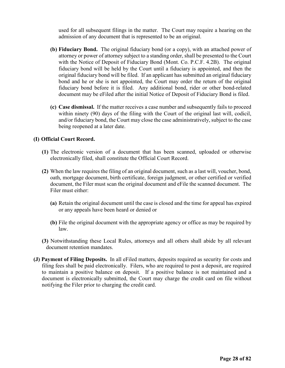used for all subsequent filings in the matter. The Court may require a hearing on the admission of any document that is represented to be an original.

- **(b) Fiduciary Bond.** The original fiduciary bond (or a copy), with an attached power of attorney or power of attorney subject to a standing order, shall be presented to the Court with the Notice of Deposit of Fiduciary Bond (Mont. Co. P.C.F. 4.2B). The original fiduciary bond will be held by the Court until a fiduciary is appointed, and then the original fiduciary bond will be filed. If an applicant has submitted an original fiduciary bond and he or she is not appointed, the Court may order the return of the original fiduciary bond before it is filed. Any additional bond, rider or other bond-related document may be eFiled after the initial Notice of Deposit of Fiduciary Bond is filed.
- **(c) Case dismissal.** If the matter receives a case number and subsequently fails to proceed within ninety (90) days of the filing with the Court of the original last will, codicil, and/or fiduciary bond, the Court may close the case administratively, subject to the case being reopened at a later date.

#### **(I) Official Court Record.**

- **(1)** The electronic version of a document that has been scanned, uploaded or otherwise electronically filed, shall constitute the Official Court Record.
- **(2)** When the law requires the filing of an original document, such as a last will, voucher, bond, oath, mortgage document, birth certificate, foreign judgment, or other certified or verified document, the Filer must scan the original document and eFile the scanned document. The Filer must either:
	- **(a)** Retain the original document until the case is closed and the time for appeal has expired or any appeals have been heard or denied or
	- **(b)** File the original document with the appropriate agency or office as may be required by law.
- **(3)** Notwithstanding these Local Rules, attorneys and all others shall abide by all relevant document retention mandates.
- **(J) Payment of Filing Deposits.** In all eFiled matters, deposits required as security for costs and filing fees shall be paid electronically. Filers, who are required to post a deposit, are required to maintain a positive balance on deposit. If a positive balance is not maintained and a document is electronically submitted, the Court may charge the credit card on file without notifying the Filer prior to charging the credit card.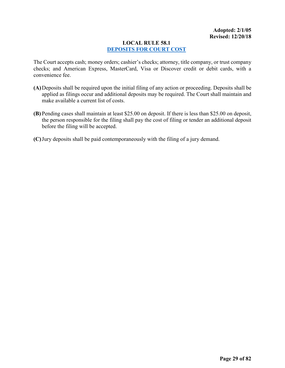#### <span id="page-28-0"></span>**LOCAL RULE 58.1 [DEPOSITS FOR COURT COST](#page-1-0)**

The Court accepts cash; money orders; cashier's checks; attorney, title company, or trust company checks; and American Express, MasterCard, Visa or Discover credit or debit cards, with a convenience fee.

- **(A)**Deposits shall be required upon the initial filing of any action or proceeding. Deposits shall be applied as filings occur and additional deposits may be required. The Court shall maintain and make available a current list of costs.
- **(B)** Pending cases shall maintain at least \$25.00 on deposit. If there is less than \$25.00 on deposit, the person responsible for the filing shall pay the cost of filing or tender an additional deposit before the filing will be accepted.
- **(C)**Jury deposits shall be paid contemporaneously with the filing of a jury demand.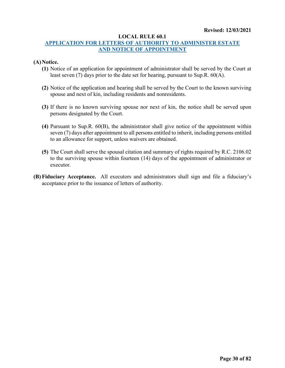#### **LOCAL RULE 60.1**

#### <span id="page-29-0"></span>**[APPLICATION FOR LETTERS OF AUTHORITY TO ADMINISTER ESTATE](#page-1-0) AND [NOTICE OF APPOINTMENT](#page-1-0)**

#### **(A)Notice.**

- **(1)** Notice of an application for appointment of administrator shall be served by the Court at least seven (7) days prior to the date set for hearing, pursuant to Sup.R. 60(A).
- **(2)** Notice of the application and hearing shall be served by the Court to the known surviving spouse and next of kin, including residents and nonresidents.
- **(3)** If there is no known surviving spouse nor next of kin, the notice shall be served upon persons designated by the Court.
- **(4)** Pursuant to Sup.R. 60(B), the administrator shall give notice of the appointment within seven (7) days after appointment to all persons entitled to inherit, including persons entitled to an allowance for support, unless waivers are obtained.
- **(5)** The Court shall serve the spousal citation and summary of rights required by R.C. 2106.02 to the surviving spouse within fourteen (14) days of the appointment of administrator or executor.
- **(B) Fiduciary Acceptance.** All executors and administrators shall sign and file a fiduciary's acceptance prior to the issuance of letters of authority.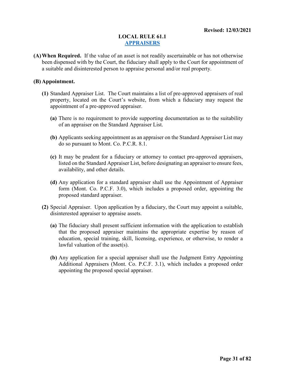#### <span id="page-30-0"></span>**LOCAL RULE 61.1 [APPRAISERS](#page-1-0)**

**(A)When Required.** If the value of an asset is not readily ascertainable or has not otherwise been dispensed with by the Court, the fiduciary shall apply to the Court for appointment of a suitable and disinterested person to appraise personal and/or real property.

#### **(B) Appointment.**

- **(1)** Standard Appraiser List. The Court maintains a list of pre-approved appraisers of real property, located on the Court's website, from which a fiduciary may request the appointment of a pre-approved appraiser.
	- **(a)** There is no requirement to provide supporting documentation as to the suitability of an appraiser on the Standard Appraiser List.
	- **(b)** Applicants seeking appointment as an appraiser on the Standard Appraiser List may do so pursuant to Mont. Co. P.C.R. 8.1.
	- **(c)** It may be prudent for a fiduciary or attorney to contact pre-approved appraisers, listed on the Standard Appraiser List, before designating an appraiser to ensure fees, availability, and other details.
	- **(d)** Any application for a standard appraiser shall use the Appointment of Appraiser form (Mont. Co. P.C.F. 3.0), which includes a proposed order, appointing the proposed standard appraiser.
- **(2)** Special Appraiser. Upon application by a fiduciary, the Court may appoint a suitable, disinterested appraiser to appraise assets.
	- **(a)** The fiduciary shall present sufficient information with the application to establish that the proposed appraiser maintains the appropriate expertise by reason of education, special training, skill, licensing, experience, or otherwise, to render a lawful valuation of the asset(s).
	- **(b)** Any application for a special appraiser shall use the Judgment Entry Appointing Additional Appraisers (Mont. Co. P.C.F. 3.1), which includes a proposed order appointing the proposed special appraiser.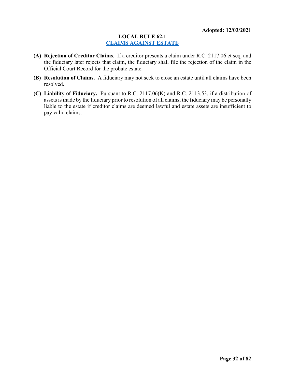#### <span id="page-31-0"></span>**LOCAL RULE 62.1 [CLAIMS AGAINST ESTATE](#page-1-0)**

- **(A) Rejection of Creditor Claims**. If a creditor presents a claim under R.C. 2117.06 et seq. and the fiduciary later rejects that claim, the fiduciary shall file the rejection of the claim in the Official Court Record for the probate estate.
- **(B) Resolution of Claims.** A fiduciary may not seek to close an estate until all claims have been resolved.
- **(C) Liability of Fiduciary.** Pursuant to R.C. 2117.06(K) and R.C. 2113.53, if a distribution of assets is made by the fiduciary prior to resolution of all claims, the fiduciary may be personally liable to the estate if creditor claims are deemed lawful and estate assets are insufficient to pay valid claims.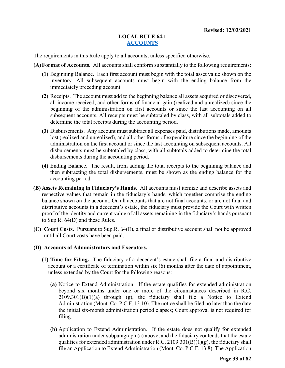#### <span id="page-32-0"></span>**LOCAL RULE 64.1 [ACCOUNTS](#page-1-0)**

The requirements in this Rule apply to all accounts, unless specified otherwise.

**(A)Format of Accounts.** All accounts shall conform substantially to the following requirements:

- **(1)** Beginning Balance. Each first account must begin with the total asset value shown on the inventory. All subsequent accounts must begin with the ending balance from the immediately preceding account.
- **(2)** Receipts. The account must add to the beginning balance all assets acquired or discovered, all income received, and other forms of financial gain (realized and unrealized) since the beginning of the administration on first accounts or since the last accounting on all subsequent accounts. All receipts must be subtotaled by class, with all subtotals added to determine the total receipts during the accounting period.
- **(3)** Disbursements. Any account must subtract all expenses paid, distributions made, amounts lost (realized and unrealized), and all other forms of expenditure since the beginning of the administration on the first account or since the last accounting on subsequent accounts. All disbursements must be subtotaled by class, with all subtotals added to determine the total disbursements during the accounting period.
- **(4)** Ending Balance. The result, from adding the total receipts to the beginning balance and then subtracting the total disbursements, must be shown as the ending balance for the accounting period.
- **(B) Assets Remaining in Fiduciary's Hands.** All accounts must itemize and describe assets and respective values that remain in the fiduciary's hands, which together comprise the ending balance shown on the account. On all accounts that are not final accounts, or are not final and distributive accounts in a decedent's estate, the fiduciary must provide the Court with written proof of the identity and current value of all assets remaining in the fiduciary's hands pursuant to Sup.R. 64(D) and these Rules.
- **(C) Court Costs.** Pursuant to Sup.R. 64(E), a final or distributive account shall not be approved until all Court costs have been paid.

#### **(D) Accounts of Administrators and Executors.**

- **(1) Time for Filing.** The fiduciary of a decedent's estate shall file a final and distributive account or a certificate of termination within six (6) months after the date of appointment, unless extended by the Court for the following reasons:
	- **(a)** Notice to Extend Administration. If the estate qualifies for extended administration beyond six months under one or more of the circumstances described in R.C. 2109.301(B)(1)(a) through (g), the fiduciary shall file a Notice to Extend Administration (Mont. Co. P.C.F. 13.10). The notice shall be filed no later than the date the initial six-month administration period elapses; Court approval is not required for filing.
	- **(b)** Application to Extend Administration. If the estate does not qualify for extended administration under subparagraph (a) above, and the fiduciary contends that the estate qualifies for extended administration under R.C. 2109.301(B)(1)(g), the fiduciary shall file an Application to Extend Administration (Mont. Co. P.C.F. 13.8). The Application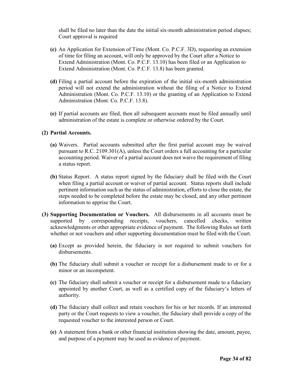shall be filed no later than the date the initial six-month administration period elapses; Court approval is required

- **(c)** An Application for Extension of Time (Mont. Co. P.C.F. 3D), requesting an extension of time for filing an account, will only be approved by the Court after a Notice to Extend Administration (Mont. Co. P.C.F. 13.10) has been filed or an Application to Extend Administration (Mont. Co. P.C.F. 13.8) has been granted.
- **(d)** Filing a partial account before the expiration of the initial six-month administration period will not extend the administration without the filing of a Notice to Extend Administration (Mont. Co. P.C.F. 13.10) or the granting of an Application to Extend Administration (Mont. Co. P.C.F. 13.8).
- **(e)** If partial accounts are filed, then all subsequent accounts must be filed annually until administration of the estate is complete or otherwise ordered by the Court.

#### **(2) Partial Accounts.**

- **(a)** Waivers. Partial accounts submitted after the first partial account may be waived pursuant to R.C. 2109.301(A), unless the Court orders a full accounting for a particular accounting period. Waiver of a partial account does not waive the requirement of filing a status report.
- **(b)** Status Report. A status report signed by the fiduciary shall be filed with the Court when filing a partial account or waiver of partial account. Status reports shall include pertinent information such as the status of administration, efforts to close the estate, the steps needed to be completed before the estate may be closed, and any other pertinent information to apprise the Court.
- **(3) Supporting Documentation or Vouchers.** All disbursements in all accounts must be supported by corresponding receipts, vouchers, cancelled checks, written acknowledgments or other appropriate evidence of payment. The following Rules set forth whether or not vouchers and other supporting documentation must be filed with the Court.
	- **(a)** Except as provided herein, the fiduciary is not required to submit vouchers for disbursements.
	- **(b)** The fiduciary shall submit a voucher or receipt for a disbursement made to or for a minor or an incompetent.
	- **(c)** The fiduciary shall submit a voucher or receipt for a disbursement made to a fiduciary appointed by another Court, as well as a certified copy of the fiduciary's letters of authority.
	- **(d)** The fiduciary shall collect and retain vouchers for his or her records. If an interested party or the Court requests to view a voucher, the fiduciary shall provide a copy of the requested voucher to the interested person or Court.
	- **(e)** A statement from a bank or other financial institution showing the date, amount, payee, and purpose of a payment may be used as evidence of payment.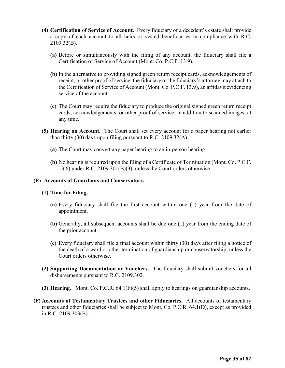- **(4) Certification of Service of Account.** Every fiduciary of a decedent's estate shall provide a copy of each account to all heirs or vested beneficiaries in compliance with R.C. 2109.32(B).
	- **(a)** Before or simultaneously with the filing of any account, the fiduciary shall file a Certification of Service of Account (Mont. Co. P.C.F. 13.9).
	- **(b)** In the alternative to providing signed green return receipt cards, acknowledgements of receipt, or other proof of service, the fiduciary or the fiduciary's attorney may attach to the Certification of Service of Account (Mont. Co. P.C.F. 13.9), an affidavit evidencing service of the account.
	- **(c)** The Court may require the fiduciary to produce the original signed green return receipt cards, acknowledgements, or other proof of service, in addition to scanned images, at any time.
- **(5) Hearing on Account.** The Court shall set every account for a paper hearing not earlier than thirty (30) days upon filing pursuant to R.C. 2109.32(A).
	- **(a)** The Court may convert any paper hearing to an in-person hearing.
	- **(b)** No hearing is required upon the filing of a Certificate of Termination (Mont. Co. P.C.F. 13.6) under R.C. 2109.301(B)(3), unless the Court orders otherwise.

#### **(E) Accounts of Guardians and Conservators.**

#### **(1) Time for Filing.**

- **(a)** Every fiduciary shall file the first account within one (1) year from the date of appointment.
- **(b)** Generally, all subsequent accounts shall be due one (1) year from the ending date of the prior account.
- **(c)** Every fiduciary shall file a final account within thirty (30) days after filing a notice of the death of a ward or other termination of guardianship or conservatorship, unless the Court orders otherwise.
- **(2) Supporting Documentation or Vouchers.** The fiduciary shall submit vouchers for all disbursements pursuant to R.C. 2109.302.
- **(3) Hearing.** Mont. Co. P.C.R. 64.1(F)(5) shall apply to hearings on guardianship accounts.
- **(F) Accounts of Testamentary Trustees and other Fiduciaries.** All accounts of testamentary trustees and other fiduciaries shall be subject to Mont. Co. P.C.R. 64.1(D), except as provided in R.C. 2109.303(B).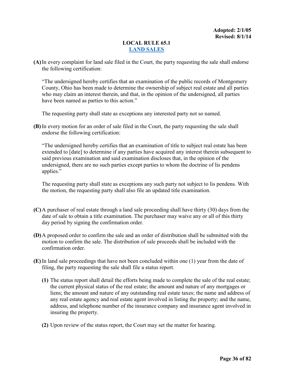#### <span id="page-35-0"></span>**LOCAL RULE 65.1 [LAND SALES](#page-1-0)**

**(A)**In every complaint for land sale filed in the Court, the party requesting the sale shall endorse the following certification:

"The undersigned hereby certifies that an examination of the public records of Montgomery County, Ohio has been made to determine the ownership of subject real estate and all parties who may claim an interest therein, and that, in the opinion of the undersigned, all parties have been named as parties to this action."

The requesting party shall state as exceptions any interested party not so named.

**(B)** In every motion for an order of sale filed in the Court, the party requesting the sale shall endorse the following certification:

"The undersigned hereby certifies that an examination of title to subject real estate has been extended to [date] to determine if any parties have acquired any interest therein subsequent to said previous examination and said examination discloses that, in the opinion of the undersigned, there are no such parties except parties to whom the doctrine of lis pendens applies."

The requesting party shall state as exceptions any such party not subject to lis pendens. With the motion, the requesting party shall also file an updated title examination.

- **(C)**A purchaser of real estate through a land sale proceeding shall have thirty (30) days from the date of sale to obtain a title examination. The purchaser may waive any or all of this thirty day period by signing the confirmation order.
- **(D)**A proposed order to confirm the sale and an order of distribution shall be submitted with the motion to confirm the sale. The distribution of sale proceeds shall be included with the confirmation order.
- **(E)** In land sale proceedings that have not been concluded within one (1) year from the date of filing, the party requesting the sale shall file a status report.
	- **(1)** The status report shall detail the efforts being made to complete the sale of the real estate; the current physical status of the real estate; the amount and nature of any mortgages or liens; the amount and nature of any outstanding real estate taxes; the name and address of any real estate agency and real estate agent involved in listing the property; and the name, address, and telephone number of the insurance company and insurance agent involved in insuring the property.
	- **(2)** Upon review of the status report, the Court may set the matter for hearing.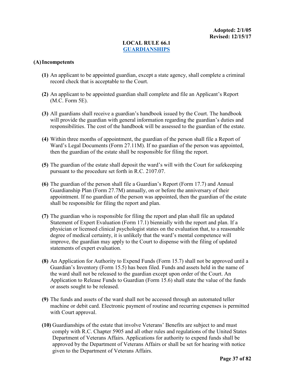# **LOCAL RULE 66.1 [GUARDIANSHIPS](#page-1-0)**

### **(A)Incompetents**

- **(1)** An applicant to be appointed guardian, except a state agency, shall complete a criminal record check that is acceptable to the Court.
- **(2)** An applicant to be appointed guardian shall complete and file an Applicant's Report (M.C. Form 5E).
- **(3)** All guardians shall receive a guardian's handbook issued by the Court. The handbook will provide the guardian with general information regarding the guardian's duties and responsibilities. The cost of the handbook will be assessed to the guardian of the estate.
- **(4)** Within three months of appointment, the guardian of the person shall file a Report of Ward's Legal Documents (Form 27.11M). If no guardian of the person was appointed, then the guardian of the estate shall be responsible for filing the report.
- **(5)** The guardian of the estate shall deposit the ward's will with the Court for safekeeping pursuant to the procedure set forth in R.C. 2107.07.
- **(6)** The guardian of the person shall file a Guardian's Report (Form 17.7) and Annual Guardianship Plan (Form 27.7M) annually, on or before the anniversary of their appointment. If no guardian of the person was appointed, then the guardian of the estate shall be responsible for filing the report and plan.
- **(7)** The guardian who is responsible for filing the report and plan shall file an updated Statement of Expert Evaluation (Form 17.1) biennially with the report and plan. If a physician or licensed clinical psychologist states on the evaluation that, to a reasonable degree of medical certainty, it is unlikely that the ward's mental competence will improve, the guardian may apply to the Court to dispense with the filing of updated statements of expert evaluation.
- **(8)** An Application for Authority to Expend Funds (Form 15.7) shall not be approved until a Guardian's Inventory (Form 15.5) has been filed. Funds and assets held in the name of the ward shall not be released to the guardian except upon order of the Court. An Application to Release Funds to Guardian (Form 15.6) shall state the value of the funds or assets sought to be released.
- **(9)** The funds and assets of the ward shall not be accessed through an automated teller machine or debit card. Electronic payment of routine and recurring expenses is permitted with Court approval.
- **(10)** Guardianships of the estate that involve Veterans' Benefits are subject to and must comply with R.C. Chapter 5905 and all other rules and regulations of the United States Department of Veterans Affairs. Applications for authority to expend funds shall be approved by the Department of Veterans Affairs or shall be set for hearing with notice given to the Department of Veterans Affairs.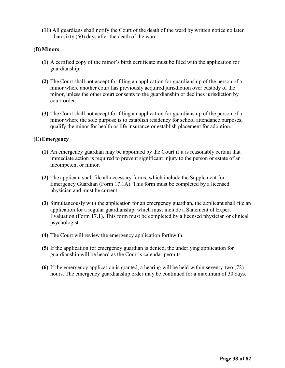**(11)** All guardians shall notify the Court of the death of the ward by written notice no later than sixty (60) days after the death of the ward.

# **(B) Minors**

- **(1)** A certified copy of the minor's birth certificate must be filed with the application for guardianship.
- **(2)** The Court shall not accept for filing an application for guardianship of the person of a minor where another court has previously acquired jurisdiction over custody of the minor, unless the other court consents to the guardianship or declines jurisdiction by court order.
- **(3)** The Court shall not accept for filing an application for guardianship of the person of a minor where the sole purpose is to establish residency for school attendance purposes, qualify the minor for health or life insurance or establish placement for adoption.

# **(C)Emergency**

- **(1)** An emergency guardian may be appointed by the Court if it is reasonably certain that immediate action is required to prevent significant injury to the person or estate of an incompetent or minor.
- **(2)** The applicant shall file all necessary forms, which include the Supplement for Emergency Guardian (Form 17.1A). This form must be completed by a licensed physician and must be current.
- **(3)** Simultaneously with the application for an emergency guardian, the applicant shall file an application for a regular guardianship, which must include a Statement of Expert Evaluation (Form 17.1). This form must be completed by a licensed physician or clinical psychologist.
- **(4)** The Court will review the emergency application forthwith.
- **(5)** If the application for emergency guardian is denied, the underlying application for guardianship will be heard as the Court's calendar permits.
- **(6)** If the emergency application is granted, a hearing will be held within seventy-two (72) hours. The emergency guardianship order may be continued for a maximum of 30 days.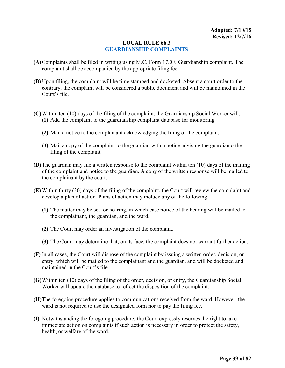# **LOCAL RULE 66.3 [GUARDIANSHIP COMPLAINTS](#page-1-0)**

- **(A)**Complaints shall be filed in writing using M.C. Form 17.0F, Guardianship complaint. The complaint shall be accompanied by the appropriate filing fee.
- **(B)** Upon filing, the complaint will be time stamped and docketed. Absent a court order to the contrary, the complaint will be considered a public document and will be maintained in the Court's file.
- **(C)**Within ten (10) days of the filing of the complaint, the Guardianship Social Worker will: **(1)** Add the complaint to the guardianship complaint database for monitoring.
	- **(2)** Mail a notice to the complainant acknowledging the filing of the complaint.
	- **(3)** Mail a copy of the complaint to the guardian with a notice advising the guardian o the filing of the complaint.
- **(D)**The guardian may file a written response to the complaint within ten (10) days of the mailing of the complaint and notice to the guardian. A copy of the written response will be mailed to the complainant by the court.
- **(E)** Within thirty (30) days of the filing of the complaint, the Court will review the complaint and develop a plan of action. Plans of action may include any of the following:
	- **(1)** The matter may be set for hearing, in which case notice of the hearing will be mailed to the complainant, the guardian, and the ward.
	- **(2)** The Court may order an investigation of the complaint.
	- **(3)** The Court may determine that, on its face, the complaint does not warrant further action.
- **(F)** In all cases, the Court will dispose of the complaint by issuing a written order, decision, or entry, which will be mailed to the complainant and the guardian, and will be docketed and maintained in the Court's file.
- **(G)**Within ten (10) days of the filing of the order, decision, or entry, the Guardianship Social Worker will update the database to reflect the disposition of the complaint.
- **(H)**The foregoing procedure applies to communications received from the ward. However, the ward is not required to use the designated form nor to pay the filing fee.
- **(I)** Notwithstanding the foregoing procedure, the Court expressly reserves the right to take immediate action on complaints if such action is necessary in order to protect the safety, health, or welfare of the ward.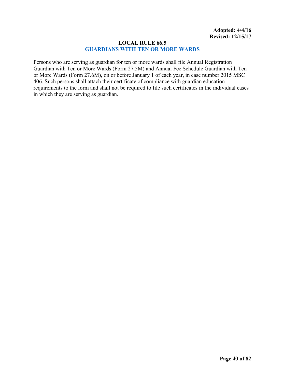# **LOCAL RULE 66.5 [GUARDIANS WITH TEN OR MORE WARDS](#page-1-0)**

Persons who are serving as guardian for ten or more wards shall file Annual Registration Guardian with Ten or More Wards (Form 27.5M) and Annual Fee Schedule Guardian with Ten or More Wards (Form 27.6M), on or before January 1 of each year, in case number 2015 MSC 406. Such persons shall attach their certificate of compliance with guardian education requirements to the form and shall not be required to file such certificates in the individual cases in which they are serving as guardian.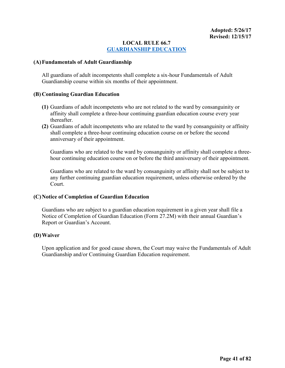# **LOCAL RULE 66.7 [GUARDIANSHIP EDUCATION](#page-1-0)**

#### **(A)Fundamentals of Adult Guardianship**

All guardians of adult incompetents shall complete a six-hour Fundamentals of Adult Guardianship course within six months of their appointment.

#### **(B) Continuing Guardian Education**

- **(1)** Guardians of adult incompetents who are not related to the ward by consanguinity or affinity shall complete a three-hour continuing guardian education course every year thereafter.
- **(2)** Guardians of adult incompetents who are related to the ward by consanguinity or affinity shall complete a three-hour continuing education course on or before the second anniversary of their appointment.

Guardians who are related to the ward by consanguinity or affinity shall complete a threehour continuing education course on or before the third anniversary of their appointment.

Guardians who are related to the ward by consanguinity or affinity shall not be subject to any further continuing guardian education requirement, unless otherwise ordered by the Court.

#### **(C)Notice of Completion of Guardian Education**

Guardians who are subject to a guardian education requirement in a given year shall file a Notice of Completion of Guardian Education (Form 27.2M) with their annual Guardian's Report or Guardian's Account.

#### **(D)Waiver**

Upon application and for good cause shown, the Court may waive the Fundamentals of Adult Guardianship and/or Continuing Guardian Education requirement.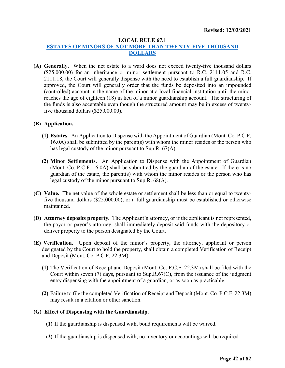#### **LOCAL RULE 67.1**

# **[ESTATES OF MINORS OF NOT MORE THAN TWENTY-FIVE THOUSAND](#page-1-0)  [DOLLARS](#page-1-0)**

**(A) Generally.** When the net estate to a ward does not exceed twenty-five thousand dollars (\$25,000.00) for an inheritance or minor settlement pursuant to R.C. 2111.05 and R.C. 2111.18, the Court will generally dispense with the need to establish a full guardianship. If approved, the Court will generally order that the funds be deposited into an impounded (controlled) account in the name of the minor at a local financial institution until the minor reaches the age of eighteen (18) in lieu of a minor guardianship account. The structuring of the funds is also acceptable even though the structured amount may be in excess of twentyfive thousand dollars (\$25,000.00).

#### **(B) Application.**

- **(1) Estates.** An Application to Dispense with the Appointment of Guardian (Mont. Co. P.C.F. 16.0A) shall be submitted by the parent(s) with whom the minor resides or the person who has legal custody of the minor pursuant to Sup.R. 67(A).
- **(2) Minor Settlements.** An Application to Dispense with the Appointment of Guardian (Mont. Co. P.C.F. 16.0A) shall be submitted by the guardian of the estate. If there is no guardian of the estate, the parent(s) with whom the minor resides or the person who has legal custody of the minor pursuant to Sup.R. 68(A).
- **(C) Value.** The net value of the whole estate or settlement shall be less than or equal to twentyfive thousand dollars (\$25,000.00), or a full guardianship must be established or otherwise maintained.
- **(D) Attorney deposits property.** The Applicant's attorney, or if the applicant is not represented, the payor or payor's attorney, shall immediately deposit said funds with the depository or deliver property to the person designated by the Court.
- **(E) Verification.** Upon deposit of the minor's property, the attorney, applicant or person designated by the Court to hold the property, shall obtain a completed Verification of Receipt and Deposit (Mont. Co. P.C.F. 22.3M).
	- **(1)** The Verification of Receipt and Deposit (Mont. Co. P.C.F. 22.3M) shall be filed with the Court within seven  $(7)$  days, pursuant to Sup.R. $67(C)$ , from the issuance of the judgment entry dispensing with the appointment of a guardian, or as soon as practicable.
	- **(2)** Failure to file the completed Verification of Receipt and Deposit (Mont. Co. P.C.F. 22.3M) may result in a citation or other sanction.

#### **(G) Effect of Dispensing with the Guardianship.**

- **(1)** If the guardianship is dispensed with, bond requirements will be waived.
- **(2)** If the guardianship is dispensed with, no inventory or accountings will be required.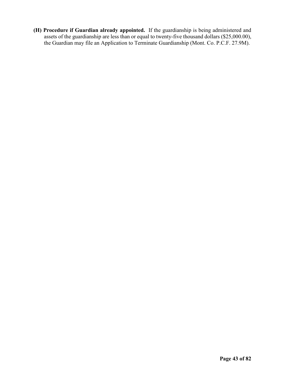**(H) Procedure if Guardian already appointed.** If the guardianship is being administered and assets of the guardianship are less than or equal to twenty-five thousand dollars (\$25,000.00), the Guardian may file an Application to Terminate Guardianship (Mont. Co. P.C.F. 27.9M).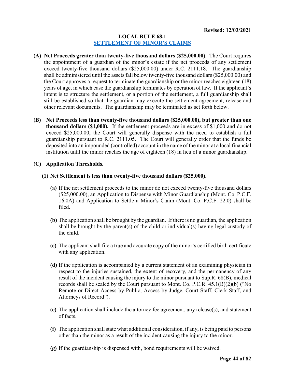#### **LOCAL RULE 68.1 [SETTLEMENT OF MINOR'S CLAIMS](#page-1-0)**

- **(A) Net Proceeds greater than twenty-five thousand dollars (\$25,000.00).** The Court requires the appointment of a guardian of the minor's estate if the net proceeds of any settlement exceed twenty-five thousand dollars (\$25,000.00) under R.C. 2111.18. The guardianship shall be administered until the assets fall below twenty-five thousand dollars (\$25,000.00) and the Court approves a request to terminate the guardianship or the minor reaches eighteen (18) years of age, in which case the guardianship terminates by operation of law. If the applicant's intent is to structure the settlement, or a portion of the settlement, a full guardianship shall still be established so that the guardian may execute the settlement agreement, release and other relevant documents. The guardianship may be terminated as set forth below.
- **(B) Net Proceeds less than twenty-five thousand dollars (\$25,000.00), but greater than one thousand dollars (\$1,000).** If the settlement proceeds are in excess of \$1,000 and do not exceed \$25,000.00, the Court will generally dispense with the need to establish a full guardianship pursuant to R.C. 2111.05. The Court will generally order that the funds be deposited into an impounded (controlled) account in the name of the minor at a local financial institution until the minor reaches the age of eighteen (18) in lieu of a minor guardianship.

# **(C) Application Thresholds.**

#### **(1) Net Settlement is less than twenty-five thousand dollars (\$25,000).**

- **(a)** If the net settlement proceeds to the minor do not exceed twenty-five thousand dollars (\$25,000.00), an Application to Dispense with Minor Guardianship (Mont. Co. P.C.F. 16.0A) and Application to Settle a Minor's Claim (Mont. Co. P.C.F. 22.0) shall be filed.
- **(b)** The application shall be brought by the guardian. If there is no guardian, the application shall be brought by the parent(s) of the child or individual(s) having legal custody of the child.
- **(c)** The applicant shall file a true and accurate copy of the minor's certified birth certificate with any application.
- **(d)** If the application is accompanied by a current statement of an examining physician in respect to the injuries sustained, the extent of recovery, and the permanency of any result of the incident causing the injury to the minor pursuant to Sup.R. 68(B), medical records shall be sealed by the Court pursuant to Mont. Co. P.C.R. 45.1(B)(2)(b) ("No Remote or Direct Access by Public; Access by Judge, Court Staff, Clerk Staff, and Attorneys of Record").
- **(e)** The application shall include the attorney fee agreement, any release(s), and statement of facts.
- **(f)** The application shall state what additional consideration, if any, is being paid to persons other than the minor as a result of the incident causing the injury to the minor.
- **(g)** If the guardianship is dispensed with, bond requirements will be waived.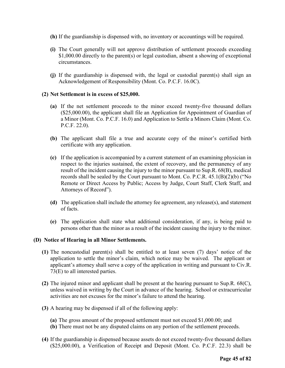- **(h)** If the guardianship is dispensed with, no inventory or accountings will be required.
- **(i)** The Court generally will not approve distribution of settlement proceeds exceeding \$1,000.00 directly to the parent(s) or legal custodian, absent a showing of exceptional circumstances.
- **(j)** If the guardianship is dispensed with, the legal or custodial parent(s) shall sign an Acknowledgement of Responsibility (Mont. Co. P.C.F. 16.0C).

#### **(2) Net Settlement is in excess of \$25,000.**

- **(a)** If the net settlement proceeds to the minor exceed twenty-five thousand dollars (\$25,000.00), the applicant shall file an Application for Appointment of Guardian of a Minor (Mont. Co. P.C.F. 16.0) and Application to Settle a Minors Claim (Mont. Co. P.C.F. 22.0).
- **(b)** The applicant shall file a true and accurate copy of the minor's certified birth certificate with any application.
- **(c)** If the application is accompanied by a current statement of an examining physician in respect to the injuries sustained, the extent of recovery, and the permanency of any result of the incident causing the injury to the minor pursuant to Sup.R. 68(B), medical records shall be sealed by the Court pursuant to Mont. Co. P.C.R. 45.1(B)(2)(b) ("No Remote or Direct Access by Public; Access by Judge, Court Staff, Clerk Staff, and Attorneys of Record").
- **(d)** The application shall include the attorney fee agreement, any release(s), and statement of facts.
- **(e)** The application shall state what additional consideration, if any, is being paid to persons other than the minor as a result of the incident causing the injury to the minor.

#### **(D) Notice of Hearing in all Minor Settlements.**

- **(1)** The noncustodial parent(s) shall be entitled to at least seven (7) days' notice of the application to settle the minor's claim, which notice may be waived. The applicant or applicant's attorney shall serve a copy of the application in writing and pursuant to Civ.R. 73(E) to all interested parties.
- **(2)** The injured minor and applicant shall be present at the hearing pursuant to Sup.R. 68(C), unless waived in writing by the Court in advance of the hearing. School or extracurricular activities are not excuses for the minor's failure to attend the hearing.
- **(3)** A hearing may be dispensed if all of the following apply:
	- **(a)** The gross amount of the proposed settlement must not exceed \$1,000.00; and
	- **(b)** There must not be any disputed claims on any portion of the settlement proceeds.
- **(4)** If the guardianship is dispensed because assets do not exceed twenty-five thousand dollars (\$25,000.00), a Verification of Receipt and Deposit (Mont. Co. P.C.F. 22.3) shall be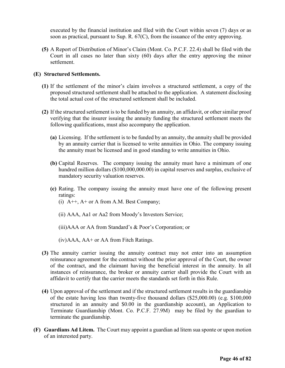executed by the financial institution and filed with the Court within seven (7) days or as soon as practical, pursuant to Sup. R. 67(C), from the issuance of the entry approving.

**(5)** A Report of Distribution of Minor's Claim (Mont. Co. P.C.F. 22.4) shall be filed with the Court in all cases no later than sixty (60) days after the entry approving the minor settlement.

# **(E) Structured Settlements.**

- **(1)** If the settlement of the minor's claim involves a structured settlement, a copy of the proposed structured settlement shall be attached to the application. A statement disclosing the total actual cost of the structured settlement shall be included.
- **(2)** If the structured settlement is to be funded by an annuity, an affidavit, or other similar proof verifying that the insurer issuing the annuity funding the structured settlement meets the following qualifications, must also accompany the application.
	- **(a)** Licensing. If the settlement is to be funded by an annuity, the annuity shall be provided by an annuity carrier that is licensed to write annuities in Ohio. The company issuing the annuity must be licensed and in good standing to write annuities in Ohio.
	- **(b)** Capital Reserves. The company issuing the annuity must have a minimum of one hundred million dollars (\$100,000,000.00) in capital reserves and surplus, exclusive of mandatory security valuation reserves.
	- **(c)** Rating. The company issuing the annuity must have one of the following present ratings:
		- (i)  $A++$ ,  $A+$  or A from A.M. Best Company;
		- (ii) AAA, Aa1 or Aa2 from Moody's Investors Service;
		- (iii)AAA or AA from Standard's & Poor's Corporation; or
		- (iv)AAA, AA+ or AA from Fitch Ratings.
- **(3)** The annuity carrier issuing the annuity contract may not enter into an assumption reinsurance agreement for the contract without the prior approval of the Court, the owner of the contract, and the claimant having the beneficial interest in the annuity. In all instances of reinsurance, the broker or annuity carrier shall provide the Court with an affidavit to certify that the carrier meets the standards set forth in this Rule.
- **(4)** Upon approval of the settlement and if the structured settlement results in the guardianship of the estate having less than twenty-five thousand dollars (\$25,000.00) (e.g. \$100,000 structured in an annuity and \$0.00 in the guardianship account), an Application to Terminate Guardianship (Mont. Co. P.C.F. 27.9M) may be filed by the guardian to terminate the guardianship.
- **(F) Guardians Ad Litem.** The Court may appoint a guardian ad litem sua sponte or upon motion of an interested party.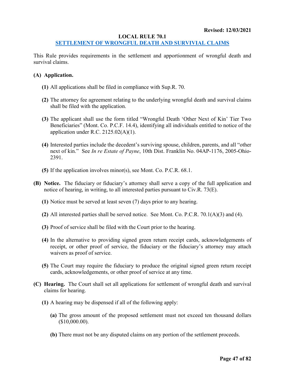#### **LOCAL RULE 70.1**

# **[SETTLEMENT OF WRONGFUL DEATH AND SURVIVIAL CLAIMS](#page-1-0)**

This Rule provides requirements in the settlement and apportionment of wrongful death and survival claims.

#### **(A) Application.**

- **(1)** All applications shall be filed in compliance with Sup.R. 70.
- **(2)** The attorney fee agreement relating to the underlying wrongful death and survival claims shall be filed with the application.
- **(3)** The applicant shall use the form titled "Wrongful Death 'Other Next of Kin' Tier Two Beneficiaries" (Mont. Co. P.C.F. 14.4), identifying all individuals entitled to notice of the application under R.C.  $2125.02(A)(1)$ .
- **(4)** Interested parties include the decedent's surviving spouse, children, parents, and all "other next of kin." See *In re Estate of Payne*, 10th Dist. Franklin No. 04AP-1176, 2005-Ohio-2391.
- **(5)** If the application involves minor(s), see Mont. Co. P.C.R. 68.1.
- **(B) Notice.** The fiduciary or fiduciary's attorney shall serve a copy of the full application and notice of hearing, in writing, to all interested parties pursuant to Civ.R. 73(E).
	- **(1)** Notice must be served at least seven (7) days prior to any hearing.
	- **(2)** All interested parties shall be served notice. See Mont. Co. P.C.R. 70.1(A)(3) and (4).
	- **(3)** Proof of service shall be filed with the Court prior to the hearing.
	- **(4)** In the alternative to providing signed green return receipt cards, acknowledgements of receipt, or other proof of service, the fiduciary or the fiduciary's attorney may attach waivers as proof of service.
	- **(5)** The Court may require the fiduciary to produce the original signed green return receipt cards, acknowledgements, or other proof of service at any time.
- **(C) Hearing.** The Court shall set all applications for settlement of wrongful death and survival claims for hearing.
	- **(1)** A hearing may be dispensed if all of the following apply:
		- **(a)** The gross amount of the proposed settlement must not exceed ten thousand dollars (\$10,000.00).
		- **(b)** There must not be any disputed claims on any portion of the settlement proceeds.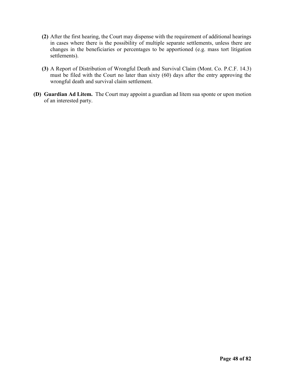- **(2)** After the first hearing, the Court may dispense with the requirement of additional hearings in cases where there is the possibility of multiple separate settlements, unless there are changes in the beneficiaries or percentages to be apportioned (e.g. mass tort litigation settlements).
- **(3)** A Report of Distribution of Wrongful Death and Survival Claim (Mont. Co. P.C.F. 14.3) must be filed with the Court no later than sixty (60) days after the entry approving the wrongful death and survival claim settlement.
- **(D) Guardian Ad Litem.** The Court may appoint a guardian ad litem sua sponte or upon motion of an interested party.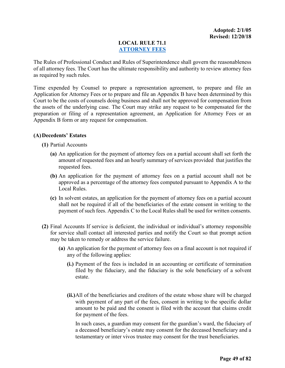# **LOCAL RULE 71.1 [ATTORNEY FEES](#page-1-0)**

The Rules of Professional Conduct and Rules of Superintendence shall govern the reasonableness of all attorney fees. The Court has the ultimate responsibility and authority to review attorney fees as required by such rules.

Time expended by Counsel to prepare a representation agreement, to prepare and file an Application for Attorney Fees or to prepare and file an Appendix B have been determined by this Court to be the costs of counsels doing business and shall not be approved for compensation from the assets of the underlying case. The Court may strike any request to be compensated for the preparation or filing of a representation agreement, an Application for Attorney Fees or an Appendix B form or any request for compensation.

# **(A)Decedents' Estates**

**(1)** Partial Accounts

- **(a)** An application for the payment of attorney fees on a partial account shall set forth the amount of requested fees and an hourly summary of services provided that justifies the requested fees.
- **(b)** An application for the payment of attorney fees on a partial account shall not be approved as a percentage of the attorney fees computed pursuant to Appendix A to the Local Rules.
- **(c)** In solvent estates, an application for the payment of attorney fees on a partial account shall not be required if all of the beneficiaries of the estate consent in writing to the payment of such fees. Appendix C to the Local Rules shall be used for written consents.
- **(2)** Final Accounts If service is deficient, the individual or individual's attorney responsible for service shall contact all interested parties and notify the Court so that prompt action may be taken to remedy or address the service failure.
	- **(a)** An application for the payment of attorney fees on a final account is not required if any of the following applies:
		- **(i.)** Payment of the fees is included in an accounting or certificate of termination filed by the fiduciary, and the fiduciary is the sole beneficiary of a solvent estate.
		- **(ii.)**All of the beneficiaries and creditors of the estate whose share will be charged with payment of any part of the fees, consent in writing to the specific dollar amount to be paid and the consent is filed with the account that claims credit for payment of the fees.

In such cases, a guardian may consent for the guardian's ward, the fiduciary of a deceased beneficiary's estate may consent for the deceased beneficiary and a testamentary or inter vivos trustee may consent for the trust beneficiaries.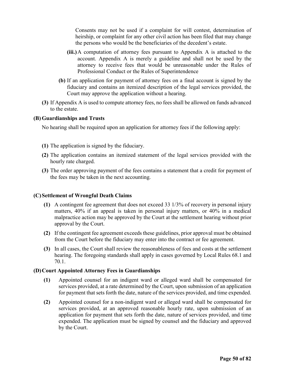Consents may not be used if a complaint for will contest, determination of heirship, or complaint for any other civil action has been filed that may change the persons who would be the beneficiaries of the decedent's estate.

- **(iii.)**A computation of attorney fees pursuant to Appendix A is attached to the account. Appendix A is merely a guideline and shall not be used by the attorney to receive fees that would be unreasonable under the Rules of Professional Conduct or the Rules of Superintendence
- **(b)** If an application for payment of attorney fees on a final account is signed by the fiduciary and contains an itemized description of the legal services provided, the Court may approve the application without a hearing.
- **(3)** If Appendix A is used to compute attorney fees, no fees shall be allowed on funds advanced to the estate.

#### **(B) Guardianships and Trusts**

No hearing shall be required upon an application for attorney fees if the following apply:

- **(1)** The application is signed by the fiduciary.
- **(2)** The application contains an itemized statement of the legal services provided with the hourly rate charged.
- **(3)** The order approving payment of the fees contains a statement that a credit for payment of the fees may be taken in the next accounting.

#### **(C)Settlement of Wrongful Death Claims**

- **(1)** A contingent fee agreement that does not exceed 33 1/3% of recovery in personal injury matters, 40% if an appeal is taken in personal injury matters, or 40% in a medical malpractice action may be approved by the Court at the settlement hearing without prior approval by the Court.
- **(2)** If the contingent fee agreement exceeds these guidelines, prior approval must be obtained from the Court before the fiduciary may enter into the contract or fee agreement.
- **(3)** In all cases, the Court shall review the reasonableness of fees and costs at the settlement hearing. The foregoing standards shall apply in cases governed by Local Rules 68.1 and 70.1.

#### **(D)Court Appointed Attorney Fees in Guardianships**

- **(1)** Appointed counsel for an indigent ward or alleged ward shall be compensated for services provided, at a rate determined by the Court, upon submission of an application for payment that sets forth the date, nature of the services provided, and time expended.
- **(2)** Appointed counsel for a non-indigent ward or alleged ward shall be compensated for services provided, at an approved reasonable hourly rate, upon submission of an application for payment that sets forth the date, nature of services provided, and time expended. The application must be signed by counsel and the fiduciary and approved by the Court.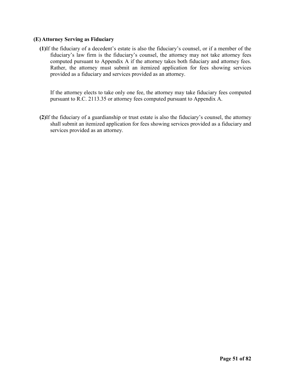# **(E) Attorney Serving as Fiduciary**

**(1)**If the fiduciary of a decedent's estate is also the fiduciary's counsel, or if a member of the fiduciary's law firm is the fiduciary's counsel, the attorney may not take attorney fees computed pursuant to Appendix A if the attorney takes both fiduciary and attorney fees. Rather, the attorney must submit an itemized application for fees showing services provided as a fiduciary and services provided as an attorney.

If the attorney elects to take only one fee, the attorney may take fiduciary fees computed pursuant to R.C. 2113.35 or attorney fees computed pursuant to Appendix A.

**(2)**If the fiduciary of a guardianship or trust estate is also the fiduciary's counsel, the attorney shall submit an itemized application for fees showing services provided as a fiduciary and services provided as an attorney.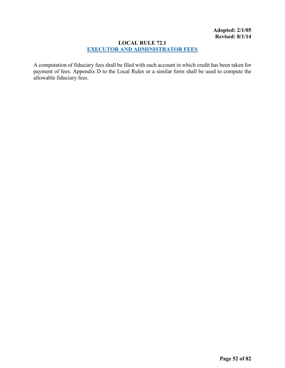# **LOCAL RULE 72.1 [EXECUTOR AND ADMINISTRATOR FEES](#page-1-0)**

A computation of fiduciary fees shall be filed with each account in which credit has been taken for payment of fees. Appendix D to the Local Rules or a similar form shall be used to compute the allowable fiduciary fees.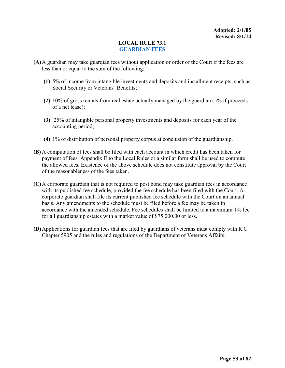# **LOCAL RULE 73.1 [GUARDIAN FEES](#page-1-0)**

- **(A)**A guardian may take guardian fees without application or order of the Court if the fees are less than or equal to the sum of the following:
	- **(1)** 5% of income from intangible investments and deposits and installment receipts, such as Social Security or Veterans' Benefits;
	- **(2)** 10% of gross rentals from real estate actually managed by the guardian (5% if proceeds of a net lease);
	- **(3)** .25% of intangible personal property investments and deposits for each year of the accounting period;
	- **(4)** 1% of distribution of personal property corpus at conclusion of the guardianship.
- **(B)** A computation of fees shall be filed with each account in which credit has been taken for payment of fees. Appendix E to the Local Rules or a similar form shall be used to compute the allowed fees. Existence of the above schedule does not constitute approval by the Court of the reasonableness of the fees taken.
- **(C)**A corporate guardian that is not required to post bond may take guardian fees in accordance with its published fee schedule, provided the fee schedule has been filed with the Court. A corporate guardian shall file its current published fee schedule with the Court on an annual basis. Any amendments to the schedule must be filed before a fee may be taken in accordance with the amended schedule. Fee schedules shall be limited to a maximum 1% fee for all guardianship estates with a market value of \$75,000.00 or less.
- **(D)**Applications for guardian fees that are filed by guardians of veterans must comply with R.C. Chapter 5905 and the rules and regulations of the Department of Veterans Affairs.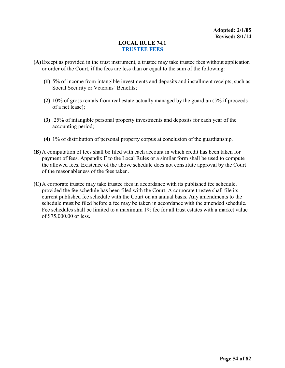# **LOCAL RULE 74.1 [TRUSTEE FEES](#page-1-0)**

- **(A)**Except as provided in the trust instrument, a trustee may take trustee fees without application or order of the Court, if the fees are less than or equal to the sum of the following:
	- **(1)** 5% of income from intangible investments and deposits and installment receipts, such as Social Security or Veterans' Benefits;
	- **(2)** 10% of gross rentals from real estate actually managed by the guardian (5% if proceeds of a net lease);
	- **(3)** .25% of intangible personal property investments and deposits for each year of the accounting period;
	- **(4)** 1% of distribution of personal property corpus at conclusion of the guardianship.
- **(B)** A computation of fees shall be filed with each account in which credit has been taken for payment of fees. Appendix F to the Local Rules or a similar form shall be used to compute the allowed fees. Existence of the above schedule does not constitute approval by the Court of the reasonableness of the fees taken.
- **(C)**A corporate trustee may take trustee fees in accordance with its published fee schedule, provided the fee schedule has been filed with the Court. A corporate trustee shall file its current published fee schedule with the Court on an annual basis. Any amendments to the schedule must be filed before a fee may be taken in accordance with the amended schedule. Fee schedules shall be limited to a maximum 1% fee for all trust estates with a market value of \$75,000.00 or less.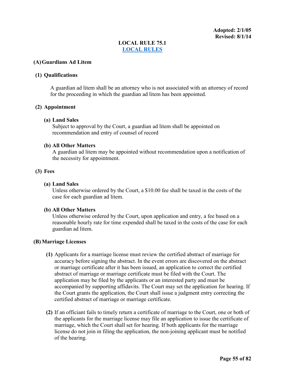**Adopted: 2/1/05 Revised: 8/1/14**

# **LOCAL RULE 75.1 [LOCAL RULES](#page-1-0)**

#### **(A)Guardians Ad Litem**

# **(1) Qualifications**

A guardian ad litem shall be an attorney who is not associated with an attorney of record for the proceeding in which the guardian ad litem has been appointed.

#### **(2) Appointment**

#### **(a) Land Sales**

Subject to approval by the Court, a guardian ad litem shall be appointed on recommendation and entry of counsel of record

#### **(b) All Other Matters**

A guardian ad litem may be appointed without recommendation upon a notification of the necessity for appointment.

#### **(3) Fees**

#### **(a) Land Sales**

Unless otherwise ordered by the Court, a \$10.00 fee shall be taxed in the costs of the case for each guardian ad litem.

#### **(b) All Other Matters**

Unless otherwise ordered by the Court, upon application and entry, a fee based on a reasonable hourly rate for time expended shall be taxed in the costs of the case for each guardian ad litem.

#### **(B) Marriage Licenses**

- **(1)** Applicants for a marriage license must review the certified abstract of marriage for accuracy before signing the abstract. In the event errors are discovered on the abstract or marriage certificate after it has been issued, an application to correct the certified abstract of marriage or marriage certificate must be filed with the Court. The application may be filed by the applicants or an interested party and must be accompanied by supporting affidavits. The Court may set the application for hearing. If the Court grants the application, the Court shall issue a judgment entry correcting the certified abstract of marriage or marriage certificate.
- **(2)** If an officiant fails to timely return a certificate of marriage to the Court, one or both of the applicants for the marriage license may file an application to issue the certificate of marriage, which the Court shall set for hearing. If both applicants for the marriage license do not join in filing the application, the non-joining applicant must be notified of the hearing.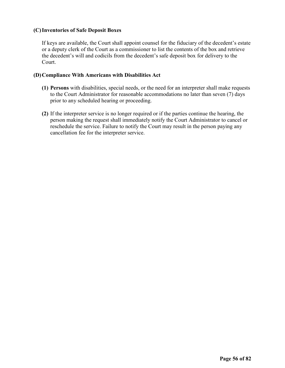# **(C)Inventories of Safe Deposit Boxes**

If keys are available, the Court shall appoint counsel for the fiduciary of the decedent's estate or a deputy clerk of the Court as a commissioner to list the contents of the box and retrieve the decedent's will and codicils from the decedent's safe deposit box for delivery to the Court.

# **(D)Compliance With Americans with Disabilities Act**

- **(1) Persons** with disabilities, special needs, or the need for an interpreter shall make requests to the Court Administrator for reasonable accommodations no later than seven (7) days prior to any scheduled hearing or proceeding.
- **(2)** If the interpreter service is no longer required or if the parties continue the hearing, the person making the request shall immediately notify the Court Administrator to cancel or reschedule the service. Failure to notify the Court may result in the person paying any cancellation fee for the interpreter service.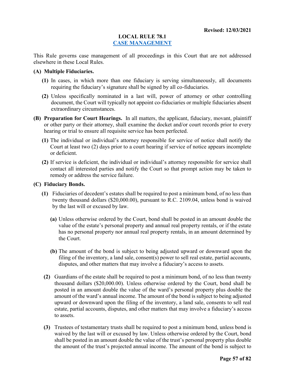#### **LOCAL RULE 78.1 [CASE MANAGEMENT](#page-1-0)**

This Rule governs case management of all proceedings in this Court that are not addressed elsewhere in these Local Rules.

#### **(A) Multiple Fiduciaries.**

- **(1)** In cases, in which more than one fiduciary is serving simultaneously, all documents requiring the fiduciary's signature shall be signed by all co-fiduciaries.
- **(2)** Unless specifically nominated in a last will, power of attorney or other controlling document, the Court will typically not appoint co-fiduciaries or multiple fiduciaries absent extraordinary circumstances.
- **(B) Preparation for Court Hearings.** In all matters, the applicant, fiduciary, movant, plaintiff or other party or their attorney, shall examine the docket and/or court records prior to every hearing or trial to ensure all requisite service has been perfected.
	- **(1)** The individual or individual's attorney responsible for service of notice shall notify the Court at least two (2) days prior to a court hearing if service of notice appears incomplete or deficient.
	- **(2)** If service is deficient, the individual or individual's attorney responsible for service shall contact all interested parties and notify the Court so that prompt action may be taken to remedy or address the service failure.

#### **(C) Fiduciary Bonds.**

- **(1)** Fiduciaries of decedent's estates shall be required to post a minimum bond, of no less than twenty thousand dollars (\$20,000.00), pursuant to R.C. 2109.04, unless bond is waived by the last will or excused by law.
	- **(a)** Unless otherwise ordered by the Court, bond shall be posted in an amount double the value of the estate's personal property and annual real property rentals, or if the estate has no personal property nor annual real property rentals, in an amount determined by the Court.
	- **(b)** The amount of the bond is subject to being adjusted upward or downward upon the filing of the inventory, a land sale, consent(s) power to sell real estate, partial accounts, disputes, and other matters that may involve a fiduciary's access to assets.
- **(2)** Guardians of the estate shall be required to post a minimum bond, of no less than twenty thousand dollars (\$20,000.00). Unless otherwise ordered by the Court, bond shall be posted in an amount double the value of the ward's personal property plus double the amount of the ward's annual income. The amount of the bond is subject to being adjusted upward or downward upon the filing of the inventory, a land sale, consents to sell real estate, partial accounts, disputes, and other matters that may involve a fiduciary's access to assets.
- **(3)** Trustees of testamentary trusts shall be required to post a minimum bond, unless bond is waived by the last will or excused by law. Unless otherwise ordered by the Court, bond shall be posted in an amount double the value of the trust's personal property plus double the amount of the trust's projected annual income. The amount of the bond is subject to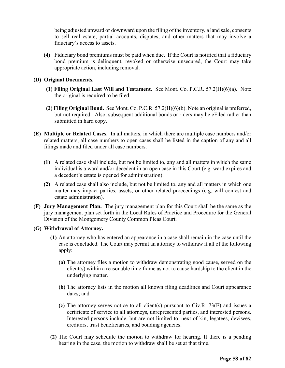being adjusted upward or downward upon the filing of the inventory, a land sale, consents to sell real estate, partial accounts, disputes, and other matters that may involve a fiduciary's access to assets.

**(4)** Fiduciary bond premiums must be paid when due. If the Court is notified that a fiduciary bond premium is delinquent, revoked or otherwise unsecured, the Court may take appropriate action, including removal.

# **(D) Original Documents.**

- **(1) Filing Original Last Will and Testament.** See Mont. Co. P.C.R. 57.2(H)(6)(a). Note the original is required to be filed.
- **(2) Filing Original Bond.** See Mont. Co. P.C.R. 57.2(H)(6)(b). Note an original is preferred, but not required. Also, subsequent additional bonds or riders may be eFiled rather than submitted in hard copy.
- **(E) Multiple or Related Cases.** In all matters, in which there are multiple case numbers and/or related matters, all case numbers to open cases shall be listed in the caption of any and all filings made and filed under all case numbers.
	- **(1)** A related case shall include, but not be limited to, any and all matters in which the same individual is a ward and/or decedent in an open case in this Court (e.g. ward expires and a decedent's estate is opened for administration).
	- **(2)** A related case shall also include, but not be limited to, any and all matters in which one matter may impact parties, assets, or other related proceedings (e.g. will contest and estate administration).
- **(F) Jury Management Plan.** The jury management plan for this Court shall be the same as the jury management plan set forth in the Local Rules of Practice and Procedure for the General Division of the Montgomery County Common Pleas Court.
- **(G) Withdrawal of Attorney.**
	- **(1)** An attorney who has entered an appearance in a case shall remain in the case until the case is concluded. The Court may permit an attorney to withdraw if all of the following apply:
		- **(a)** The attorney files a motion to withdraw demonstrating good cause, served on the client(s) within a reasonable time frame as not to cause hardship to the client in the underlying matter.
		- **(b)** The attorney lists in the motion all known filing deadlines and Court appearance dates; and
		- **(c)** The attorney serves notice to all client(s) pursuant to Civ.R. 73(E) and issues a certificate of service to all attorneys, unrepresented parties, and interested persons. Interested persons include, but are not limited to, next of kin, legatees, devisees, creditors, trust beneficiaries, and bonding agencies.
	- **(2)** The Court may schedule the motion to withdraw for hearing. If there is a pending hearing in the case, the motion to withdraw shall be set at that time.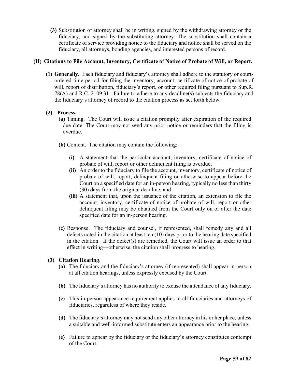**(3)** Substitution of attorney shall be in writing, signed by the withdrawing attorney or the fiduciary, and signed by the substituting attorney. The substitution shall contain a certificate of service providing notice to the fiduciary and notice shall be served on the fiduciary, all attorneys, bonding agencies, and interested persons of record.

# **(H) Citations to File Account, Inventory, Certificate of Notice of Probate of Will, or Report.**

**(1) Generally.** Each fiduciary and fiduciary's attorney shall adhere to the statutory or courtordered time period for filing the inventory, account, certificate of notice of probate of will, report of distribution, fiduciary's report, or other required filing pursuant to Sup.R. 78(A) and R.C. 2109.31. Failure to adhere to any deadline(s) subjects the fiduciary and the fiduciary's attorney of record to the citation process as set forth below.

# **(2) Process.**

- **(a)** Timing. The Court will issue a citation promptly after expiration of the required due date. The Court may not send any prior notice or reminders that the filing is overdue.
- **(b)** Content. The citation may contain the following:
	- **(i)** A statement that the particular account, inventory, certificate of notice of probate of will, report or other delinquent filing is overdue;
	- **(ii)** An order to the fiduciary to file the account, inventory, certificate of notice of probate of will, report, delinquent filing or otherwise to appear before the Court on a specified date for an in-person hearing, typically no less than thirty (30) days from the original deadline; and
	- **(iii)** A statement that, upon the issuance of the citation, an extension to file the account, inventory, certificate of notice of probate of will, report or other delinquent filing may be obtained from the Court only on or after the date specified date for an in-person hearing.
- **(c)** Response. The fiduciary and counsel, if represented, shall remedy any and all defects noted in the citation at least ten (10) days prior to the hearing date specified in the citation. If the defect(s) are remedied, the Court will issue an order to that effect in writing—otherwise, the citation shall progress to hearing.

# **(3) Citation Hearing**.

- **(a)** The fiduciary and the fiduciary's attorney (if represented) shall appear in-person at all citation hearings, unless expressly excused by the Court.
- **(b)** The fiduciary's attorney has no authority to excuse the attendance of any fiduciary.
- **(c)** This in-person appearance requirement applies to all fiduciaries and attorneys of fiduciaries, regardless of where they reside.
- **(d)** The fiduciary's attorney may not send any other attorney in his or her place, unless a suitable and well-informed substitute enters an appearance prior to the hearing.
- **(e)** Failure to appear by the fiduciary or the fiduciary's attorney constitutes contempt of the Court.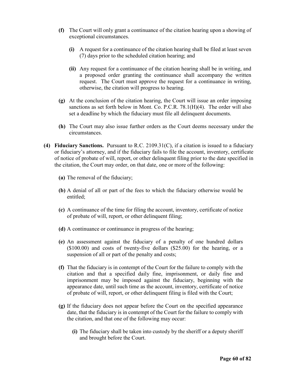- **(f)** The Court will only grant a continuance of the citation hearing upon a showing of exceptional circumstances.
	- **(i)** A request for a continuance of the citation hearing shall be filed at least seven (7) days prior to the scheduled citation hearing; and
	- **(ii)** Any request for a continuance of the citation hearing shall be in writing, and a proposed order granting the continuance shall accompany the written request. The Court must approve the request for a continuance in writing, otherwise, the citation will progress to hearing.
- **(g)** At the conclusion of the citation hearing, the Court will issue an order imposing sanctions as set forth below in Mont. Co. P.C.R. 78.1(H)(4). The order will also set a deadline by which the fiduciary must file all delinquent documents.
- **(h)** The Court may also issue further orders as the Court deems necessary under the circumstances.
- **(4) Fiduciary Sanctions.** Pursuant to R.C. 2109.31(C), if a citation is issued to a fiduciary or fiduciary's attorney, and if the fiduciary fails to file the account, inventory, certificate of notice of probate of will, report, or other delinquent filing prior to the date specified in the citation, the Court may order, on that date, one or more of the following:
	- **(a)** The removal of the fiduciary;
	- **(b)** A denial of all or part of the fees to which the fiduciary otherwise would be entitled;
	- **(c)** A continuance of the time for filing the account, inventory, certificate of notice of probate of will, report, or other delinquent filing;
	- **(d)** A continuance or continuance in progress of the hearing;
	- **(e)** An assessment against the fiduciary of a penalty of one hundred dollars (\$100.00) and costs of twenty-five dollars (\$25.00) for the hearing, or a suspension of all or part of the penalty and costs;
	- **(f)** That the fiduciary is in contempt of the Court for the failure to comply with the citation and that a specified daily fine, imprisonment, or daily fine and imprisonment may be imposed against the fiduciary, beginning with the appearance date, until such time as the account, inventory, certificate of notice of probate of will, report, or other delinquent filing is filed with the Court;
	- **(g)** If the fiduciary does not appear before the Court on the specified appearance date, that the fiduciary is in contempt of the Court for the failure to comply with the citation, and that one of the following may occur:
		- **(i)** The fiduciary shall be taken into custody by the sheriff or a deputy sheriff and brought before the Court.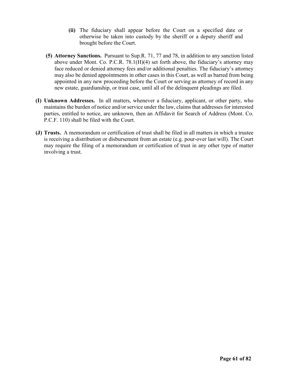- **(ii)** The fiduciary shall appear before the Court on a specified date or otherwise be taken into custody by the sheriff or a deputy sheriff and brought before the Court.
- **(5) Attorney Sanctions.** Pursuant to Sup.R. 71, 77 and 78, in addition to any sanction listed above under Mont. Co. P.C.R. 78.1(H)(4) set forth above, the fiduciary's attorney may face reduced or denied attorney fees and/or additional penalties. The fiduciary's attorney may also be denied appointments in other cases in this Court, as well as barred from being appointed in any new proceeding before the Court or serving as attorney of record in any new estate, guardianship, or trust case, until all of the delinquent pleadings are filed.
- **(I) Unknown Addresses.** In all matters, whenever a fiduciary, applicant, or other party, who maintains the burden of notice and/or service under the law, claims that addresses for interested parties, entitled to notice, are unknown, then an Affidavit for Search of Address (Mont. Co. P.C.F. 110) shall be filed with the Court.
- **(J) Trusts.** A memorandum or certification of trust shall be filed in all matters in which a trustee is receiving a distribution or disbursement from an estate (e.g. pour-over last will). The Court may require the filing of a memorandum or certification of trust in any other type of matter involving a trust.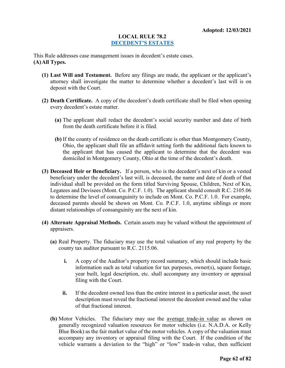#### **LOCAL RULE 78.2 [DECEDENT'S ESTATES](#page-1-0)**

This Rule addresses case management issues in decedent's estate cases. **(A)All Types.**

- **(1) Last Will and Testament.** Before any filings are made, the applicant or the applicant's attorney shall investigate the matter to determine whether a decedent's last will is on deposit with the Court.
- **(2) Death Certificate.** A copy of the decedent's death certificate shall be filed when opening every decedent's estate matter.
	- **(a)** The applicant shall redact the decedent's social security number and date of birth from the death certificate before it is filed.
	- **(b)** If the county of residence on the death certificate is other than Montgomery County, Ohio, the applicant shall file an affidavit setting forth the additional facts known to the applicant that has caused the applicant to determine that the decedent was domiciled in Montgomery County, Ohio at the time of the decedent's death.
- **(3) Deceased Heir or Beneficiary.** If a person, who is the decedent's next of kin or a vested beneficiary under the decedent's last will, is deceased, the name and date of death of that individual shall be provided on the form titled Surviving Spouse, Children, Next of Kin, Legatees and Devisees (Mont. Co. P.C.F. 1.0). The applicant should consult R.C. 2105.06 to determine the level of consanguinity to include on Mont. Co. P.C.F. 1.0. For example, deceased parents should be shown on Mont. Co. P.C.F. 1.0, anytime siblings or more distant relationships of consanguinity are the next of kin.
- **(4) Alternate Appraisal Methods.** Certain assets may be valued without the appointment of appraisers.
	- **(a)** Real Property. The fiduciary may use the total valuation of any real property by the county tax auditor pursuant to R.C. 2115.06.
		- **i.** A copy of the Auditor's property record summary, which should include basic information such as total valuation for tax purposes, owner(s), square footage, year built, legal description, etc. shall accompany any inventory or appraisal filing with the Court.
		- **ii.** If the decedent owned less than the entire interest in a particular asset, the asset description must reveal the fractional interest the decedent owned and the value of that fractional interest.
	- **(b)** Motor Vehicles. The fiduciary may use the average trade-in value as shown on generally recognized valuation resources for motor vehicles (i.e. N.A.D.A. or Kelly Blue Book) as the fair market value of the motor vehicles. A copy of the valuation must accompany any inventory or appraisal filing with the Court. If the condition of the vehicle warrants a deviation to the "high" or "low" trade-in value, then sufficient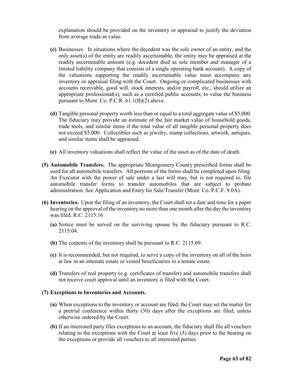explanation should be provided on the inventory or appraisal to justify the deviation from average trade-in value.

- **(c)** Businesses. In situations where the decedent was the sole owner of an entity, and the only asset(s) of the entity are readily ascertainable, the entity may be appraised at the readily ascertainable amount (e.g. decedent died as sole member and manager of a limited liability company that consists of a single operating bank account). A copy of the valuations supporting the readily ascertainable value must accompany any inventory or appraisal filing with the Court. Ongoing or complicated businesses with accounts receivable, good will, stock interests, and/or payroll, etc., should utilize an appropriate professional(s), such as a certified public accounts, to value the business pursuant to Mont. Co. P.C.R. 61.1(B)(2) above.
- **(d)** Tangible personal property worth less than or equal to a total aggregate value of \$5,000. The fiduciary may provide an estimate of the fair market value of household goods, trade tools, and similar items if the total value of all tangible personal property does not exceed \$5,000. Collectibles such as jewelry, stamp collections, artwork, antiques, and similar items shall be appraised.
- **(e)** All inventory valuations shall reflect the value of the asset as of the date of death.
- **(5) Automobile Transfers.** The appropriate Montgomery County prescribed forms shall be used for all automobile transfers. All portions of the forms shall be completed upon filing. An Executor with the power of sale under a last will may, but is not required to, file automobile transfer forms to transfer automobiles that are subject to probate administration. See Application and Entry for Sale/Transfer (Mont. Co. P.C.F. 9.0A).
- **(6) Inventories.** Upon the filing of an inventory, the Court shall set a date and time for a paper hearing on the approval of the inventory no more than one month after the day the inventory was filed. R.C. 2115.16
	- **(a)** Notice must be served on the surviving spouse by the fiduciary pursuant to R.C. 2115.04.
	- **(b)** The contents of the inventory shall be pursuant to R.C. 2115.09.
	- **(c)** It is recommended, but not required, to serve a copy of the inventory on all of the heirs at law in an intestate estate or vested beneficiaries in a testate estate.
	- **(d)** Transfers of real property (e.g. certificates of transfer) and automobile transfers shall not receive court approval until an inventory is filed with the Court.

#### **(7) Exceptions to Inventories and Accounts.**

- **(a)** When exceptions to the inventory or account are filed, the Court may set the matter for a pretrial conference within thirty (30) days after the exceptions are filed, unless otherwise ordered by the Court.
- **(b)** If an interested party files exceptions to an account, the fiduciary shall file all vouchers relating to the exceptions with the Court at least five (5) days prior to the hearing on the exceptions or provide all vouchers to all interested parties.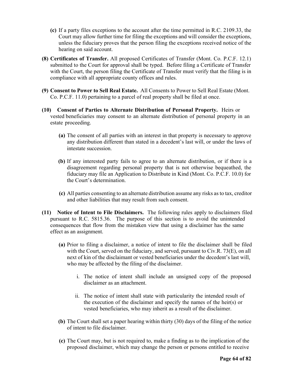- **(c)** If a party files exceptions to the account after the time permitted in R.C. 2109.33, the Court may allow further time for filing the exceptions and will consider the exceptions, unless the fiduciary proves that the person filing the exceptions received notice of the hearing on said account.
- **(8) Certificates of Transfer.** All proposed Certificates of Transfer (Mont. Co. P.C.F. 12.1) submitted to the Court for approval shall be typed. Before filing a Certificate of Transfer with the Court, the person filing the Certificate of Transfer must verify that the filing is in compliance with all appropriate county offices and rules.
- **(9) Consent to Power to Sell Real Estate.** All Consents to Power to Sell Real Estate (Mont. Co. P.C.F. 11.0) pertaining to a parcel of real property shall be filed at once.
- **(10) Consent of Parties to Alternate Distribution of Personal Property.** Heirs or vested beneficiaries may consent to an alternate distribution of personal property in an estate proceeding.
	- **(a)** The consent of all parties with an interest in that property is necessary to approve any distribution different than stated in a decedent's last will, or under the laws of intestate succession.
	- **(b)** If any interested party fails to agree to an alternate distribution, or if there is a disagreement regarding personal property that is not otherwise bequeathed, the fiduciary may file an Application to Distribute in Kind (Mont. Co. P.C.F. 10.0) for the Court's determination.
	- **(c)** All parties consenting to an alternate distribution assume any risks as to tax, creditor and other liabilities that may result from such consent.
- **(11) Notice of Intent to File Disclaimers.** The following rules apply to disclaimers filed pursuant to R.C. 5815.36. The purpose of this section is to avoid the unintended consequences that flow from the mistaken view that using a disclaimer has the same effect as an assignment.
	- **(a)** Prior to filing a disclaimer, a notice of intent to file the disclaimer shall be filed with the Court, served on the fiduciary, and served, pursuant to Civ.R. 73(E), on all next of kin of the disclaimant or vested beneficiaries under the decedent's last will, who may be affected by the filing of the disclaimer.
		- i. The notice of intent shall include an unsigned copy of the proposed disclaimer as an attachment.
		- ii. The notice of intent shall state with particularity the intended result of the execution of the disclaimer and specify the names of the heir(s) or vested beneficiaries, who may inherit as a result of the disclaimer.
	- **(b)** The Court shall set a paper hearing within thirty (30) days of the filing of the notice of intent to file disclaimer.
	- **(c)** The Court may, but is not required to, make a finding as to the implication of the proposed disclaimer, which may change the person or persons entitled to receive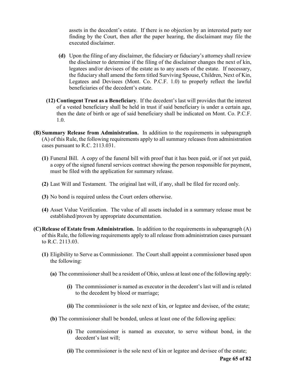assets in the decedent's estate. If there is no objection by an interested party nor finding by the Court, then after the paper hearing, the disclaimant may file the executed disclaimer.

- **(d)** Upon the filing of any disclaimer, the fiduciary or fiduciary's attorney shall review the disclaimer to determine if the filing of the disclaimer changes the next of kin, legatees and/or devisees of the estate as to any assets of the estate. If necessary, the fiduciary shall amend the form titled Surviving Spouse, Children, Next of Kin, Legatees and Devisees (Mont. Co. P.C.F. 1.0) to properly reflect the lawful beneficiaries of the decedent's estate.
- **(12) Contingent Trust as a Beneficiary**. If the decedent's last will provides that the interest of a vested beneficiary shall be held in trust if said beneficiary is under a certain age, then the date of birth or age of said beneficiary shall be indicated on Mont. Co. P.C.F. 1.0.
- **(B) Summary Release from Administration.** In addition to the requirements in subparagraph (A) of this Rule, the following requirements apply to all summary releases from administration cases pursuant to R.C. 2113.031.
	- **(1)** Funeral Bill. A copy of the funeral bill with proof that it has been paid, or if not yet paid, a copy of the signed funeral services contract showing the person responsible for payment, must be filed with the application for summary release.
	- **(2)** Last Will and Testament. The original last will, if any, shall be filed for record only.
	- **(3)** No bond is required unless the Court orders otherwise.
	- **(4)** Asset Value Verification. The value of all assets included in a summary release must be established/proven by appropriate documentation.
- **(C)Release of Estate from Administration.** In addition to the requirements in subparagraph (A) of this Rule, the following requirements apply to all release from administration cases pursuant to R.C. 2113.03.
	- **(1)** Eligibility to Serve as Commissioner. The Court shall appoint a commissioner based upon the following:
		- **(a)** The commissioner shall be a resident of Ohio, unless at least one of the following apply:
			- **(i)** The commissioner is named as executor in the decedent's last will and is related to the decedent by blood or marriage;
			- **(ii)** The commissioner is the sole next of kin, or legatee and devisee, of the estate;
		- **(b)** The commissioner shall be bonded, unless at least one of the following applies:
			- **(i)** The commissioner is named as executor, to serve without bond, in the decedent's last will;
			- **(ii)** The commissioner is the sole next of kin or legatee and devisee of the estate;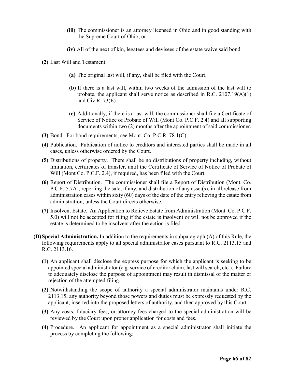- **(iii)** The commissioner is an attorney licensed in Ohio and in good standing with the Supreme Court of Ohio; or
- **(iv)** All of the next of kin, legatees and devisees of the estate waive said bond.

**(2)** Last Will and Testament.

- **(a)** The original last will, if any, shall be filed with the Court.
- **(b)** If there is a last will, within two weeks of the admission of the last will to probate, the applicant shall serve notice as described in R.C.  $2107.19(A)(1)$ and Civ.R. 73(E).
- **(c)** Additionally, if there is a last will, the commissioner shall file a Certificate of Service of Notice of Probate of Will (Mont Co. P.C.F. 2.4) and all supporting documents within two (2) months after the appointment of said commissioner.
- **(3)** Bond. For bond requirements, see Mont. Co. P.C.R. 78.1(C).
- **(4)** Publication. Publication of notice to creditors and interested parties shall be made in all cases, unless otherwise ordered by the Court.
- **(5)** Distributions of property. There shall be no distributions of property including, without limitation, certificates of transfer, until the Certificate of Service of Notice of Probate of Will (Mont Co. P.C.F. 2.4), if required, has been filed with the Court.
- **(6)** Report of Distribution. The commissioner shall file a Report of Distribution (Mont. Co. P.C.F. 5.7A), reporting the sale, if any, and distribution of any asset(s), in all release from administration cases within sixty (60) days of the date of the entry relieving the estate from administration, unless the Court directs otherwise.
- **(7)** Insolvent Estate. An Application to Relieve Estate from Administration (Mont. Co. P.C.F. 5.0) will not be accepted for filing if the estate is insolvent or will not be approved if the estate is determined to be insolvent after the action is filed.
- **(D)Special Administration.** In addition to the requirements in subparagraph (A) of this Rule, the following requirements apply to all special administrator cases pursuant to R.C. 2113.15 and R.C. 2113.16.
	- **(1)** An applicant shall disclose the express purpose for which the applicant is seeking to be appointed special administrator (e.g. service of creditor claim, last will search, etc.). Failure to adequately disclose the purpose of appointment may result in dismissal of the matter or rejection of the attempted filing.
	- **(2)** Notwithstanding the scope of authority a special administrator maintains under R.C. 2113.15, any authority beyond those powers and duties must be expressly requested by the applicant, inserted into the proposed letters of authority, and then approved by this Court.
	- **(3)** Any costs, fiduciary fees, or attorney fees charged to the special administration will be reviewed by the Court upon proper application for costs and fees.
	- **(4)** Procedure. An applicant for appointment as a special administrator shall initiate the process by completing the following: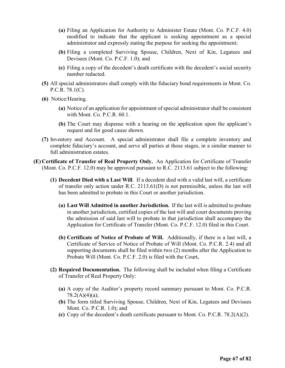- **(a)** Filing an Application for Authority to Administer Estate (Mont. Co. P.C.F. 4.0) modified to indicate that the applicant is seeking appointment as a special administrator and expressly stating the purpose for seeking the appointment;
- **(b)** Filing a completed Surviving Spouse, Children, Next of Kin, Legatees and Devisees (Mont. Co. P.C.F. 1.0); and
- **(c)** Filing a copy of the decedent's death certificate with the decedent's social security number redacted.
- **(5)** All special administrators shall comply with the fiduciary bond requirements in Mont. Co. P.C.R. 78.1(C).
- **(6)** Notice/Hearing.
	- **(a)** Notice of an application for appointment of special administrator shall be consistent with Mont. Co. P.C.R. 60.1.
	- **(b)** The Court may dispense with a hearing on the application upon the applicant's request and for good cause shown.
- **(7)** Inventory and Account. A special administrator shall file a complete inventory and complete fiduciary's account, and serve all parties at those stages, in a similar manner to full administration estates.
- **(E) Certificate of Transfer of Real Property Only.** An Application for Certificate of Transfer (Mont. Co. P.C.F. 12.0) may be approved pursuant to R.C. 2113.61 subject to the following:
	- **(1) Decedent Died with a Last Will**. If a decedent died with a valid last will, a certificate of transfer only action under R.C. 2113.61(D) is not permissible, unless the last will has been admitted to probate in this Court or another jurisdiction.
		- **(a) Last Will Admitted in another Jurisdiction.** If the last will is admitted to probate in another jurisdiction, certified copies of the last will and court documents proving the admission of said last will to probate in that jurisdiction shall accompany the Application for Certificate of Transfer (Mont. Co. P.C.F. 12.0) filed in this Court.
		- **(b) Certificate of Notice of Probate of Will.** Additionally, if there is a last will, a Certificate of Service of Notice of Probate of Will (Mont. Co. P.C.R. 2.4) and all supporting documents shall be filed within two (2) months after the Application to Probate Will (Mont. Co. P.C.F. 2.0) is filed with the Court**.**
	- **(2) Required Documentation.** The following shall be included when filing a Certificate of Transfer of Real Property Only:
		- **(a)** A copy of the Auditor's property record summary pursuant to Mont. Co. P.C.R.  $78.2(A)(4)(a)$ ;
		- **(b)** The form titled Surviving Spouse, Children, Next of Kin, Legatees and Devisees Mont. Co. P.C.R. 1.0); and
		- **(c)** Copy of the decedent's death certificate pursuant to Mont. Co. P.C.R. 78.2(A)(2).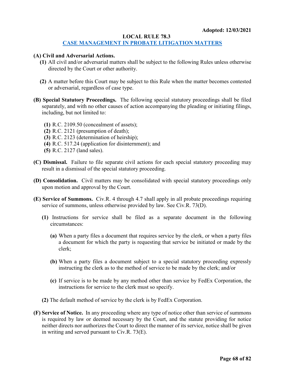#### **LOCAL RULE 78.3**

# **[CASE MANAGEMENT IN PROBATE LITIGATION MATTERS](#page-1-0)**

#### **(A) Civil and Adversarial Actions.**

- **(1)** All civil and/or adversarial matters shall be subject to the following Rules unless otherwise directed by the Court or other authority.
- **(2)** A matter before this Court may be subject to this Rule when the matter becomes contested or adversarial, regardless of case type.
- **(B) Special Statutory Proceedings.** The following special statutory proceedings shall be filed separately, and with no other causes of action accompanying the pleading or initiating filings, including, but not limited to:
	- **(1)** R.C. 2109.50 (concealment of assets);
	- **(2)** R.C. 2121 (presumption of death);
	- **(3)** R.C. 2123 (determination of heirship);
	- **(4)** R.C. 517.24 (application for disinternment); and
	- **(5)** R.C. 2127 (land sales).
- **(C) Dismissal.** Failure to file separate civil actions for each special statutory proceeding may result in a dismissal of the special statutory proceeding.
- **(D) Consolidation.** Civil matters may be consolidated with special statutory proceedings only upon motion and approval by the Court.
- **(E) Service of Summons.** Civ.R. 4 through 4.7 shall apply in all probate proceedings requiring service of summons, unless otherwise provided by law. See Civ.R. 73(D).
	- **(1)** Instructions for service shall be filed as a separate document in the following circumstances:
		- **(a)** When a party files a document that requires service by the clerk, or when a party files a document for which the party is requesting that service be initiated or made by the clerk;
		- **(b)** When a party files a document subject to a special statutory proceeding expressly instructing the clerk as to the method of service to be made by the clerk; and/or
		- **(c)** If service is to be made by any method other than service by FedEx Corporation, the instructions for service to the clerk must so specify.
	- **(2)** The default method of service by the clerk is by FedEx Corporation.
- **(F) Service of Notice.** In any proceeding where any type of notice other than service of summons is required by law or deemed necessary by the Court, and the statute providing for notice neither directs nor authorizes the Court to direct the manner of its service, notice shall be given in writing and served pursuant to Civ.R. 73(E).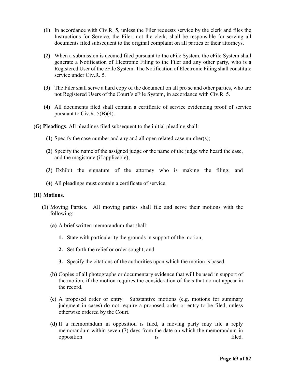- **(1)** In accordance with Civ.R. 5, unless the Filer requests service by the clerk and files the Instructions for Service, the Filer, not the clerk, shall be responsible for serving all documents filed subsequent to the original complaint on all parties or their attorneys.
- **(2)** When a submission is deemed filed pursuant to the eFile System, the eFile System shall generate a Notification of Electronic Filing to the Filer and any other party, who is a Registered User of the eFile System. The Notification of Electronic Filing shall constitute service under Civ.R. 5.
- **(3)** The Filer shall serve a hard copy of the document on all pro se and other parties, who are not Registered Users of the Court's eFile System, in accordance with Civ.R. 5.
- **(4)** All documents filed shall contain a certificate of service evidencing proof of service pursuant to Civ.R. 5(B)(4).
- **(G) Pleadings**. All pleadings filed subsequent to the initial pleading shall:
	- **(1)** Specify the case number and any and all open related case number(s);
	- **(2)** Specify the name of the assigned judge or the name of the judge who heard the case, and the magistrate (if applicable);
	- **(3)** Exhibit the signature of the attorney who is making the filing; and
	- **(4)** All pleadings must contain a certificate of service.

#### **(H) Motions.**

- **(1)** Moving Parties. All moving parties shall file and serve their motions with the following:
	- **(a)** A brief written memorandum that shall:
		- **1.** State with particularity the grounds in support of the motion;
		- **2.** Set forth the relief or order sought; and
		- **3.** Specify the citations of the authorities upon which the motion is based.
	- **(b)** Copies of all photographs or documentary evidence that will be used in support of the motion, if the motion requires the consideration of facts that do not appear in the record.
	- **(c)** A proposed order or entry. Substantive motions (e.g. motions for summary judgment in cases) do not require a proposed order or entry to be filed, unless otherwise ordered by the Court.
	- **(d)** If a memorandum in opposition is filed, a moving party may file a reply memorandum within seven (7) days from the date on which the memorandum in opposition is filed.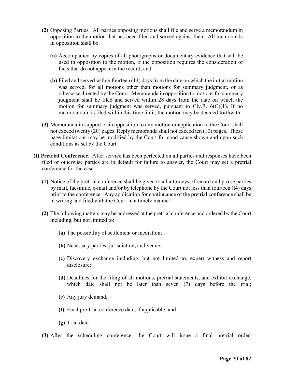- **(2)** Opposing Parties. All parties opposing motions shall file and serve a memorandum in opposition to the motion that has been filed and served against them. All memoranda in opposition shall be:
	- **(a)** Accompanied by copies of all photographs or documentary evidence that will be used in opposition to the motion, if the opposition requires the consideration of facts that do not appear in the record; and
	- **(b)** Filed and served within fourteen (14) days from the date on which the initial motion was served, for all motions other than motions for summary judgment, or as otherwise directed by the Court. Memoranda in opposition to motions for summary judgment shall be filed and served within 28 days from the date on which the motion for summary judgment was served, pursuant to Civ.R.  $6(C)(1)$ . If no memorandum is filed within this time limit, the motion may be decided forthwith.
- **(3)** Memoranda in support or in opposition to any motion or application to the Court shall not exceed twenty (20) pages. Reply memoranda shall not exceed ten (10) pages. These page limitations may be modified by the Court for good cause shown and upon such conditions as set by the Court.
- **(I) Pretrial Conference.** After service has been perfected on all parties and responses have been filed or otherwise parties are in default for failure to answer, the Court may set a pretrial conference for the case.
	- **(1)** Notice of the pretrial conference shall be given to all attorneys of record and pro se parties by mail, facsimile, e-mail and/or by telephone by the Court not less than fourteen (l4) days prior to the conference. Any application for continuance of the pretrial conference shall be in writing and filed with the Court in a timely manner.
	- **(2)** The following matters may be addressed at the pretrial conference and ordered by the Court including, but not limited to:
		- **(a)** The possibility of settlement or mediation;
		- **(b)** Necessary parties, jurisdiction, and venue;
		- **(c)** Discovery exchange including, but not limited to, expert witness and report disclosure;
		- **(d)** Deadlines for the filing of all motions, pretrial statements, and exhibit exchange, which date shall not be later than seven (7) days before the trial;
		- **(e)** Any jury demand;
		- **(f)** Final pre-trial conference date, if applicable; and
		- **(g)** Trial date.

**(3)** After the scheduling conference, the Court will issue a final pretrial order.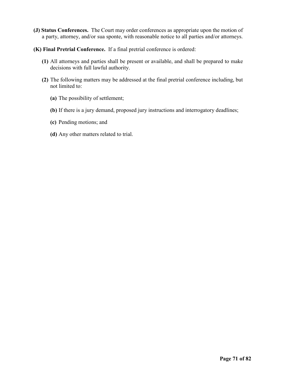- **(J) Status Conferences.** The Court may order conferences as appropriate upon the motion of a party, attorney, and/or sua sponte, with reasonable notice to all parties and/or attorneys.
- **(K) Final Pretrial Conference.** If a final pretrial conference is ordered:
	- **(1)** All attorneys and parties shall be present or available, and shall be prepared to make decisions with full lawful authority.
	- **(2)** The following matters may be addressed at the final pretrial conference including, but not limited to:
		- **(a)** The possibility of settlement;
		- **(b)** If there is a jury demand, proposed jury instructions and interrogatory deadlines;
		- **(c)** Pending motions; and
		- **(d)** Any other matters related to trial.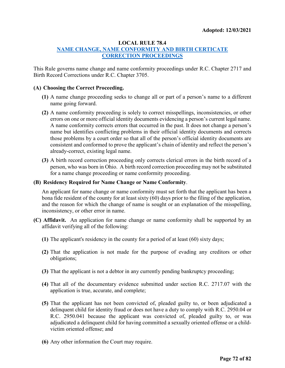# **LOCAL RULE 78.4**

# **[NAME CHANGE, NAME CONFORMITY AND BIRTH CERTICATE](#page-1-0)  [CORRECTION PROCEEDINGS](#page-1-0)**

This Rule governs name change and name conformity proceedings under R.C. Chapter 2717 and Birth Record Corrections under R.C. Chapter 3705.

#### **(A) Choosing the Correct Proceeding.**

- **(1)** A name change proceeding seeks to change all or part of a person's name to a different name going forward.
- **(2)** A name conformity proceeding is solely to correct misspellings, inconsistencies, or other errors on one or more official identity documents evidencing a person's current legal name. A name conformity corrects errors that occurred in the past. It does not change a person's name but identifies conflicting problems in their official identity documents and corrects those problems by a court order so that all of the person's official identity documents are consistent and conformed to prove the applicant's chain of identity and reflect the person's already-correct, existing legal name.
- **(3)** A birth record correction proceeding only corrects clerical errors in the birth record of a person, who was born in Ohio. A birth record correction proceeding may not be substituted for a name change proceeding or name conformity proceeding.

#### **(B) Residency Required for Name Change or Name Conformity**.

An applicant for name change or name conformity must set forth that the applicant has been a bona fide resident of the county for at least sixty (60) days prior to the filing of the application, and the reason for which the change of name is sought or an explanation of the misspelling, inconsistency, or other error in name.

- **(C) Affidavit.** An application for name change or name conformity shall be supported by an affidavit verifying all of the following:
	- **(1)** The applicant's residency in the county for a period of at least (60) sixty days;
	- **(2)** That the application is not made for the purpose of evading any creditors or other obligations;
	- **(3)** That the applicant is not a debtor in any currently pending bankruptcy proceeding;
	- **(4)** That all of the documentary evidence submitted under section R.C. 2717.07 with the application is true, accurate, and complete;
	- **(5)** That the applicant has not been convicted of, pleaded guilty to, or been adjudicated a delinquent child for identity fraud or does not have a duty to comply with R.C. 2950.04 or R.C. 2950.041 because the applicant was convicted of, pleaded guilty to, or was adjudicated a delinquent child for having committed a sexually oriented offense or a childvictim oriented offense; and
	- **(6)** Any other information the Court may require.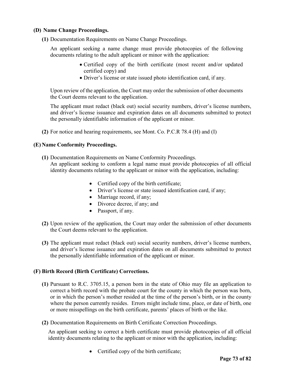### **(D) Name Change Proceedings.**

**(1)** Documentation Requirements on Name Change Proceedings.

An applicant seeking a name change must provide photocopies of the following documents relating to the adult applicant or minor with the application:

- Certified copy of the birth certificate (most recent and/or updated certified copy) and
- Driver's license or state issued photo identification card, if any.

Upon review of the application, the Court may order the submission of other documents the Court deems relevant to the application.

The applicant must redact (black out) social security numbers, driver's license numbers, and driver's license issuance and expiration dates on all documents submitted to protect the personally identifiable information of the applicant or minor.

**(2)** For notice and hearing requirements, see Mont. Co. P.C.R 78.4 (H) and (I)

#### **(E) Name Conformity Proceedings.**

- **(1)** Documentation Requirements on Name Conformity Proceedings. An applicant seeking to conform a legal name must provide photocopies of all official identity documents relating to the applicant or minor with the application, including:
	- Certified copy of the birth certificate;
	- Driver's license or state issued identification card, if any;
	- Marriage record, if any;
	- Divorce decree, if any; and
	- Passport, if any.
- **(2)** Upon review of the application, the Court may order the submission of other documents the Court deems relevant to the application.
- **(3)** The applicant must redact (black out) social security numbers, driver's license numbers, and driver's license issuance and expiration dates on all documents submitted to protect the personally identifiable information of the applicant or minor.

## **(F) Birth Record (Birth Certificate) Corrections.**

- **(1)** Pursuant to R.C. 3705.15, a person born in the state of Ohio may file an application to correct a birth record with the probate court for the county in which the person was born, or in which the person's mother resided at the time of the person's birth, or in the county where the person currently resides. Errors might include time, place, or date of birth, one or more misspellings on the birth certificate, parents' places of birth or the like.
- **(2)** Documentation Requirements on Birth Certificate Correction Proceedings.

An applicant seeking to correct a birth certificate must provide photocopies of all official identity documents relating to the applicant or minor with the application, including:

• Certified copy of the birth certificate;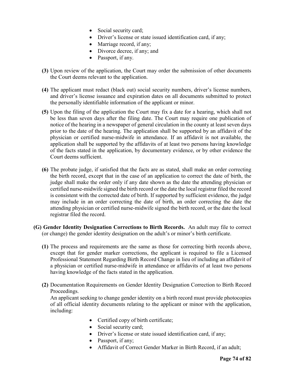- Social security card;
- Driver's license or state issued identification card, if any;
- Marriage record, if any;
- Divorce decree, if any; and
- Passport, if any.
- **(3)** Upon review of the application, the Court may order the submission of other documents the Court deems relevant to the application.
- **(4)** The applicant must redact (black out) social security numbers, driver's license numbers, and driver's license issuance and expiration dates on all documents submitted to protect the personally identifiable information of the applicant or minor.
- **(5)** Upon the filing of the application the Court may fix a date for a hearing, which shall not be less than seven days after the filing date. The Court may require one publication of notice of the hearing in a newspaper of general circulation in the county at least seven days prior to the date of the hearing. The application shall be supported by an affidavit of the physician or certified nurse-midwife in attendance. If an affidavit is not available, the application shall be supported by the affidavits of at least two persons having knowledge of the facts stated in the application, by documentary evidence, or by other evidence the Court deems sufficient.
- **(6)** The probate judge, if satisfied that the facts are as stated, shall make an order correcting the birth record, except that in the case of an application to correct the date of birth, the judge shall make the order only if any date shown as the date the attending physician or certified nurse-midwife signed the birth record or the date the local registrar filed the record is consistent with the corrected date of birth. If supported by sufficient evidence, the judge may include in an order correcting the date of birth, an order correcting the date the attending physician or certified nurse-midwife signed the birth record, or the date the local registrar filed the record.
- **(G) Gender Identity Designation Corrections to Birth Records.** An adult may file to correct (or change) the gender identity designation on the adult's or minor's birth certificate.
	- **(1)** The process and requirements are the same as those for correcting birth records above, except that for gender marker corrections, the applicant is required to file a Licensed Professional Statement Regarding Birth Record Change in lieu of including an affidavit of a physician or certified nurse-midwife in attendance or affidavits of at least two persons having knowledge of the facts stated in the application.
	- **(2)** Documentation Requirements on Gender Identity Designation Correction to Birth Record Proceedings.

An applicant seeking to change gender identity on a birth record must provide photocopies of all official identity documents relating to the applicant or minor with the application, including:

- Certified copy of birth certificate;
- Social security card;
- Driver's license or state issued identification card, if any;
- Passport, if any;
- Affidavit of Correct Gender Marker in Birth Record, if an adult;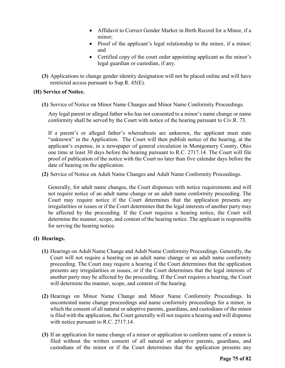- Affidavit to Correct Gender Marker in Birth Record for a Minor, if a minor;
- Proof of the applicant's legal relationship to the minor, if a minor; and
- Certified copy of the court order appointing applicant as the minor's legal guardian or custodian, if any.
- **(3)** Applications to change gender identity designation will not be placed online and will have restricted access pursuant to Sup.R. 45(E).

## **(H) Service of Notice.**

**(1)** Service of Notice on Minor Name Changes and Minor Name Conformity Proceedings.

Any legal parent or alleged father who has not consented to a minor's name change or name conformity shall be served by the Court with notice of the hearing pursuant to Civ.R. 73.

If a parent's or alleged father's whereabouts are unknown, the applicant must state "unknown" in the Application. The Court will then publish notice of the hearing, at the applicant's expense, in a newspaper of general circulation in Montgomery County, Ohio one time at least 30 days before the hearing pursuant to R.C. 2717.14. The Court will file proof of publication of the notice with the Court no later than five calendar days before the date of hearing on the application.

**(2)** Service of Notice on Adult Name Changes and Adult Name Conformity Proceedings.

Generally, for adult name changes, the Court dispenses with notice requirements and will not require notice of an adult name change or an adult name conformity proceeding. The Court may require notice if the Court determines that the application presents any irregularities or issues or if the Court determines that the legal interests of another party may be affected by the proceeding. If the Court requires a hearing notice, the Court will determine the manner, scope, and content of the hearing notice. The applicant is responsible for serving the hearing notice.

## **(I) Hearings.**

- **(1)** Hearings on Adult Name Change and Adult Name Conformity Proceedings. Generally, the Court will not require a hearing on an adult name change or an adult name conformity proceeding. The Court may require a hearing if the Court determines that the application presents any irregularities or issues, or if the Court determines that the legal interests of another party may be affected by the proceeding. If the Court requires a hearing, the Court will determine the manner, scope, and content of the hearing.
- **(2)** Hearings on Minor Name Change and Minor Name Conformity Proceedings. In uncontested name change proceedings and name conformity proceedings for a minor, in which the consent of all natural or adoptive parents, guardians, and custodians of the minor is filed with the application, the Court generally will not require a hearing and will dispense with notice pursuant to R.C. 2717.14.
- **(3)** If an application for name change of a minor or application to conform name of a minor is filed without the written consent of all natural or adoptive parents, guardians, and custodians of the minor or if the Court determines that the application presents any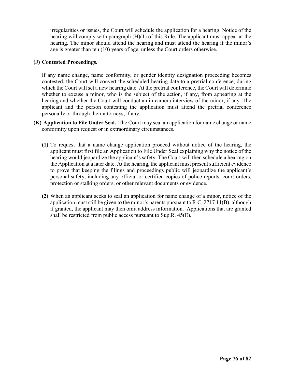irregularities or issues, the Court will schedule the application for a hearing. Notice of the hearing will comply with paragraph (H)(1) of this Rule. The applicant must appear at the hearing. The minor should attend the hearing and must attend the hearing if the minor's age is greater than ten (10) years of age, unless the Court orders otherwise.

### **(J) Contested Proceedings.**

If any name change, name conformity, or gender identity designation proceeding becomes contested, the Court will convert the scheduled hearing date to a pretrial conference, during which the Court will set a new hearing date. At the pretrial conference, the Court will determine whether to excuse a minor, who is the subject of the action, if any, from appearing at the hearing and whether the Court will conduct an in-camera interview of the minor, if any. The applicant and the person contesting the application must attend the pretrial conference personally or through their attorneys, if any.

- **(K) Application to File Under Seal.** The Court may seal an application for name change or name conformity upon request or in extraordinary circumstances.
	- **(1)** To request that a name change application proceed without notice of the hearing, the applicant must first file an Application to File Under Seal explaining why the notice of the hearing would jeopardize the applicant's safety. The Court will then schedule a hearing on the Application at a later date. At the hearing, the applicant must present sufficient evidence to prove that keeping the filings and proceedings public will jeopardize the applicant's personal safety, including any official or certified copies of police reports, court orders, protection or stalking orders, or other relevant documents or evidence.
	- **(2)** When an applicant seeks to seal an application for name change of a minor, notice of the application must still be given to the minor's parents pursuant to R.C. 2717.11(B), although if granted, the applicant may then omit address information. Applications that are granted shall be restricted from public access pursuant to Sup.R. 45(E).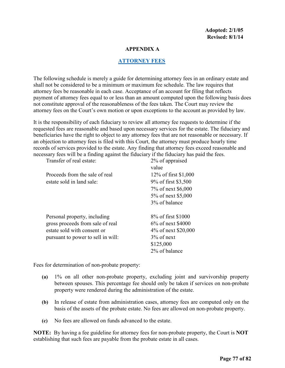#### **APPENDIX A**

#### **[ATTORNEY FEES](#page-1-0)**

The following schedule is merely a guide for determining attorney fees in an ordinary estate and shall not be considered to be a minimum or maximum fee schedule. The law requires that attorney fees be reasonable in each case. Acceptance of an account for filing that reflects payment of attorney fees equal to or less than an amount computed upon the following basis does not constitute approval of the reasonableness of the fees taken. The Court may review the attorney fees on the Court's own motion or upon exceptions to the account as provided by law.

It is the responsibility of each fiduciary to review all attorney fee requests to determine if the requested fees are reasonable and based upon necessary services for the estate. The fiduciary and beneficiaries have the right to object to any attorney fees that are not reasonable or necessary. If an objection to attorney fees is filed with this Court, the attorney must produce hourly time records of services provided to the estate. Any finding that attorney fees exceed reasonable and necessary fees will be a finding against the fiduciary if the fiduciary has paid the fees.<br>Transfer of real estate:  $\frac{20}{6}$  of annual contracts  $Traner \text{ or } a$  real estate:

| Transier of real estate:           | 270 OI appraised<br>value |
|------------------------------------|---------------------------|
| Proceeds from the sale of real     | 12\% of first \$1,000     |
| estate sold in land sale:          | 9% of first \$3,500       |
|                                    | 7% of next \$6,000        |
|                                    | 5% of next \$5,000        |
|                                    | 3% of balance             |
|                                    |                           |
| Personal property, including       | 8% of first \$1000        |
| gross proceeds from sale of real   | 6% of next \$4000         |
| estate sold with consent or        | 4\% of next \$20,000      |
| pursuant to power to sell in will: | $3\%$ of next             |
|                                    | \$125,000                 |
|                                    | 2% of balance             |
|                                    |                           |

Fees for determination of non-probate property:

- **(a)** 1% on all other non-probate property, excluding joint and survivorship property between spouses. This percentage fee should only be taken if services on non-probate property were rendered during the administration of the estate.
- **(b)** In release of estate from administration cases, attorney fees are computed only on the basis of the assets of the probate estate. No fees are allowed on non-probate property.
- **(c)** No fees are allowed on funds advanced to the estate.

**NOTE:** By having a fee guideline for attorney fees for non-probate property, the Court is **NOT**  establishing that such fees are payable from the probate estate in all cases.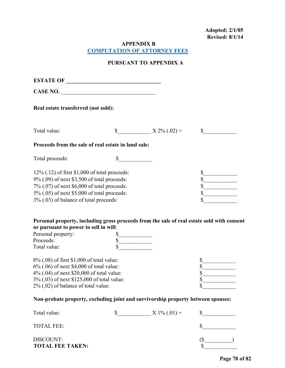**Adopted: 2/1/05 Revised: 8/1/14** 

**APPENDIX B**

**[COMPUTATION OF ATTORNEY FEES](#page-1-0)**

# **PURSUANT TO APPENDIX A**

| ESTATE OF                                                                                                                                                                                                                               |        |                                                                      |                             |
|-----------------------------------------------------------------------------------------------------------------------------------------------------------------------------------------------------------------------------------------|--------|----------------------------------------------------------------------|-----------------------------|
| CASE NO.                                                                                                                                                                                                                                |        |                                                                      |                             |
| Real estate transferred (not sold):                                                                                                                                                                                                     |        |                                                                      |                             |
| Total value:                                                                                                                                                                                                                            |        | \$ $X 2\% (.02) =$                                                   | $\mathbb{S}$                |
| Proceeds from the sale of real estate in land sale:                                                                                                                                                                                     |        |                                                                      |                             |
| Total proceeds:                                                                                                                                                                                                                         | \$     |                                                                      |                             |
| $12\%$ (.12) of first \$1,000 of total proceeds:<br>9% (.09) of next \$3,500 of total proceeds:<br>7% (.07) of next \$6,000 of total proceeds:<br>5% (.05) of next \$5,000 of total proceeds:<br>3% (.03) of balance of total proceeds: |        |                                                                      |                             |
| Personal property, including gross proceeds from the sale of real estate sold with consent<br>or pursuant to power to sell in will:                                                                                                     |        |                                                                      |                             |
| Personal property:                                                                                                                                                                                                                      | \$     |                                                                      |                             |
| Proceeds:<br>Total value:                                                                                                                                                                                                               | $\sim$ |                                                                      |                             |
| 8% (.08) of first \$1,000 of total value:<br>6% (.06) of next \$4,000 of total value:<br>4% (.04) of next \$20,000 of total value:<br>3% (.03) of next \$125,000 of total value:<br>2% (.02) of balance of total value:                 |        |                                                                      | \$<br>\$                    |
| Non-probate property, excluding joint and survivorship property between spouses:                                                                                                                                                        |        |                                                                      |                             |
| Total value:                                                                                                                                                                                                                            |        | $\frac{\text{S}_{\text{2}}}{\text{S}_{\text{2}}}\times 1\% (0.01) =$ | $\frac{\text{S}}{\text{S}}$ |
| <b>TOTAL FEE:</b>                                                                                                                                                                                                                       |        |                                                                      | $\mathbb{S}$                |

DISCOUNT: (\$)<br> **TOTAL FEE TAKEN:** \$ **TOTAL FEE TAKEN:**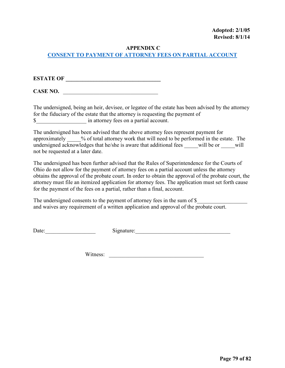### **APPENDIX C**

# **[CONSENT TO PAYMENT OF ATTORNEY FEES ON PARTIAL ACCOUNT](#page-1-0)**

**ESTATE OF \_\_\_\_\_\_\_\_\_\_\_\_\_\_\_\_\_\_\_\_\_\_\_\_\_\_\_\_\_\_\_\_\_\_**

CASE NO.

The undersigned, being an heir, devisee, or legatee of the estate has been advised by the attorney for the fiduciary of the estate that the attorney is requesting the payment of \$\_\_\_\_\_\_\_\_\_\_\_\_\_\_\_\_\_\_ in attorney fees on a partial account.

The undersigned has been advised that the above attorney fees represent payment for approximately  $\%$  of total attorney work that will need to be performed in the estate. The undersigned acknowledges that he/she is aware that additional fees will be or  $\sim$  will not be requested at a later date.

The undersigned has been further advised that the Rules of Superintendence for the Courts of Ohio do not allow for the payment of attorney fees on a partial account unless the attorney obtains the approval of the probate court. In order to obtain the approval of the probate court, the attorney must file an itemized application for attorney fees. The application must set forth cause for the payment of the fees on a partial, rather than a final, account.

The undersigned consents to the payment of attorney fees in the sum of \$ and waives any requirement of a written application and approval of the probate court.

Date: Signature: Signature:

Witness: \_\_\_\_\_\_\_\_\_\_\_\_\_\_\_\_\_\_\_\_\_\_\_\_\_\_\_\_\_\_\_\_\_\_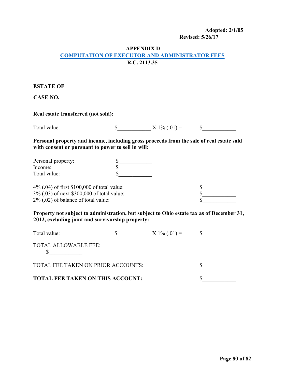# **Adopted: 2/1/05**

**Revised: 5/26/17**

## **APPENDIX D [COMPUTATION OF EXECUTOR AND ADMINISTRATOR FEES](#page-1-0) R.C. 2113.35**

**ESTATE OF \_\_\_\_\_\_\_\_\_\_\_\_\_\_\_\_\_\_\_\_\_\_\_\_\_\_\_\_\_\_\_\_\_\_**

**CASE NO.** \_\_\_\_\_\_\_\_\_\_\_\_\_\_\_\_\_\_\_\_\_\_\_\_\_\_\_\_\_\_\_\_\_\_

**Real estate transferred (not sold):** 

 $S_$  X 1% (.01) =  $S_$ 

**Personal property and income, including gross proceeds from the sale of real estate sold with consent or pursuant to power to sell in will:** 

| Personal property: |  |
|--------------------|--|
| Income:            |  |
| Total value:       |  |

4% (.04) of first \$100,000 of total value:  $\frac{\$}{\$}$ 3% (.03) of next \$300,000 of total value:  $2\%$  (.02) of balance of total value:

**Property not subject to administration, but subject to Ohio estate tax as of December 31, 2012, excluding joint and survivorship property:** 

| Total value:                            | $X 1\% (0.01) =$ |  |
|-----------------------------------------|------------------|--|
| <b>TOTAL ALLOWABLE FEE:</b>             |                  |  |
| TOTAL FEE TAKEN ON PRIOR ACCOUNTS:      |                  |  |
| <b>TOTAL FEE TAKEN ON THIS ACCOUNT:</b> |                  |  |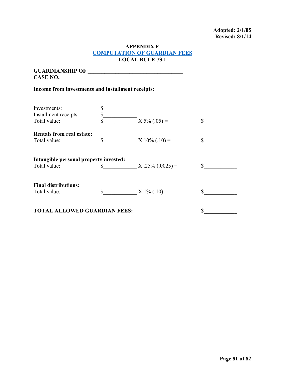#### **Adopted: 2/1/05 Revised: 8/1/14**

#### **APPENDIX E [COMPUTATION OF GUARDIAN FEES](#page-1-0) LOCAL RULE 73.1**

**GUARDIANSHIP OF \_\_\_\_\_\_\_\_\_\_\_\_\_\_\_\_\_\_\_\_\_\_\_\_\_\_\_\_\_\_\_\_\_\_ CASE NO.** \_\_\_\_\_\_\_\_\_\_\_\_\_\_\_\_\_\_\_\_\_\_\_\_\_\_\_\_\_\_\_\_\_\_

# **Income from investments and installment receipts:**

| Investments:<br>Installment receipts:<br>Total value:  | S<br>\$<br>\$ | $X 5\% (.05) =$   | S  |
|--------------------------------------------------------|---------------|-------------------|----|
| <b>Rentals from real estate:</b><br>Total value:       | \$            | $X 10\%$ (.10) =  | \$ |
| Intangible personal property invested:<br>Total value: |               | $X.25\%(.0025) =$ |    |
| <b>Final distributions:</b><br>Total value:            | \$            | $X 1\% (0.10) =$  |    |
| <b>TAL ALLOWED GUARDIAN FEES:</b>                      |               |                   |    |